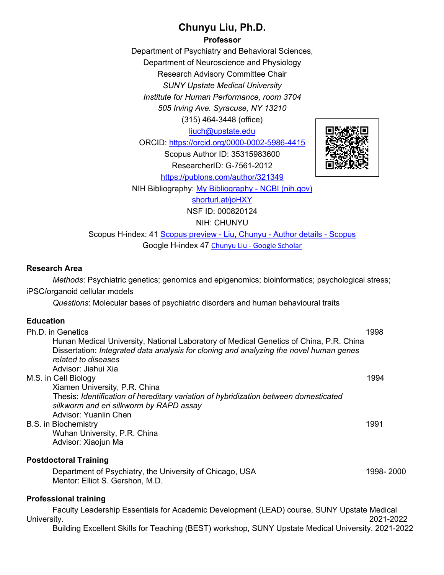# **Chunyu Liu, Ph.D. Professor**

Department of Psychiatry and Behavioral Sciences, Department of Neuroscience and Physiology Research Advisory Committee Chair

*SUNY Upstate Medical University*

*Institute for Human Performance, room 3704*

*505 Irving Ave. Syracuse, NY 13210*

(315) 464-3448 (office)

liuch@upstate.edu ORCID: https://orcid.org/0000-0002-5986-4415

Scopus Author ID: 35315983600 ResearcherID: G-7561-2012 https://publons.com/author/321349



NIH Bibliography: My Bibliography - NCBI (nih.gov) shorturl.at/joHXY

NSF ID: 000820124

NIH: CHUNYU

Scopus H-index: 41 Scopus preview - Liu, Chunyu - Author details - Scopus Google H-index 47 Chunyu Liu - Google Scholar

# **Research Area**

*Methods*: Psychiatric genetics; genomics and epigenomics; bioinformatics; psychological stress; iPSC/organoid cellular models

*Questions*: Molecular bases of psychiatric disorders and human behavioural traits

## **Education**

| Ph.D. in Genetics                                                                                                                                                                                       | 1998      |
|---------------------------------------------------------------------------------------------------------------------------------------------------------------------------------------------------------|-----------|
| Hunan Medical University, National Laboratory of Medical Genetics of China, P.R. China<br>Dissertation: Integrated data analysis for cloning and analyzing the novel human genes<br>related to diseases |           |
| Advisor: Jiahui Xia                                                                                                                                                                                     |           |
| M.S. in Cell Biology                                                                                                                                                                                    | 1994      |
| Xiamen University, P.R. China                                                                                                                                                                           |           |
| Thesis: Identification of hereditary variation of hybridization between domesticated<br>silkworm and eri silkworm by RAPD assay<br>Advisor: Yuanlin Chen                                                |           |
| <b>B.S.</b> in Biochemistry                                                                                                                                                                             | 1991      |
| Wuhan University, P.R. China<br>Advisor: Xiaojun Ma                                                                                                                                                     |           |
| <b>Postdoctoral Training</b>                                                                                                                                                                            |           |
| Department of Psychiatry, the University of Chicago, USA<br>Mentor: Elliot S. Gershon, M.D.                                                                                                             | 1998-2000 |
| <b>Professional training</b>                                                                                                                                                                            |           |
| Faculty Leadership Essentials for Academic Development (LEAD) course, SUNY Upstate Medical<br>University.                                                                                               | 2021-2022 |

Building Excellent Skills for Teaching (BEST) workshop, SUNY Upstate Medical University. 2021-2022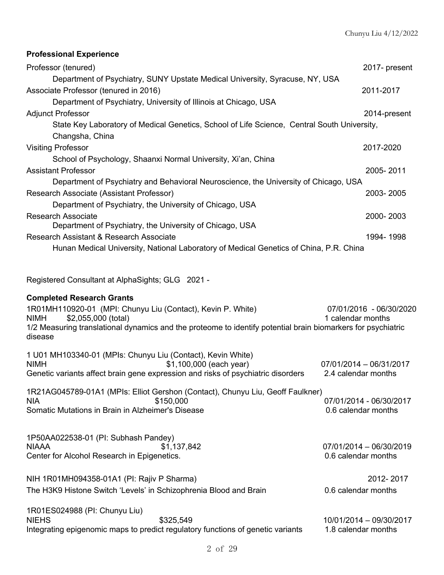# **Professional Experience**

| Professor (tenured)                                                                         | 2017- present |
|---------------------------------------------------------------------------------------------|---------------|
| Department of Psychiatry, SUNY Upstate Medical University, Syracuse, NY, USA                |               |
| Associate Professor (tenured in 2016)                                                       | 2011-2017     |
| Department of Psychiatry, University of Illinois at Chicago, USA                            |               |
| <b>Adjunct Professor</b>                                                                    | 2014-present  |
| State Key Laboratory of Medical Genetics, School of Life Science, Central South University, |               |
| Changsha, China                                                                             |               |
| <b>Visiting Professor</b>                                                                   | 2017-2020     |
| School of Psychology, Shaanxi Normal University, Xi'an, China                               |               |
| <b>Assistant Professor</b>                                                                  | 2005-2011     |
| Department of Psychiatry and Behavioral Neuroscience, the University of Chicago, USA        |               |
| Research Associate (Assistant Professor)                                                    | 2003-2005     |
| Department of Psychiatry, the University of Chicago, USA                                    |               |
| Research Associate                                                                          | 2000-2003     |
| Department of Psychiatry, the University of Chicago, USA                                    |               |
| Research Assistant & Research Associate                                                     | 1994-1998     |
| Hunan Medical University, National Laboratory of Medical Genetics of China, P.R. China      |               |
|                                                                                             |               |

Registered Consultant at AlphaSights; GLG 2021 -

#### **Completed Research Grants**

| 1R01MH110920-01 (MPI: Chunyu Liu (Contact), Kevin P. White)<br>$$2,055,000$ (total)<br><b>NIMH</b><br>1/2 Measuring translational dynamics and the proteome to identify potential brain biomarkers for psychiatric<br>disease | 07/01/2016 - 06/30/2020<br>1 calendar months   |
|-------------------------------------------------------------------------------------------------------------------------------------------------------------------------------------------------------------------------------|------------------------------------------------|
| 1 U01 MH103340-01 (MPIs: Chunyu Liu (Contact), Kevin White)<br><b>NIMH</b><br>\$1,100,000 (each year)<br>Genetic variants affect brain gene expression and risks of psychiatric disorders                                     | 07/01/2014 - 06/31/2017<br>2.4 calendar months |
| 1R21AG045789-01A1 (MPIs: Elliot Gershon (Contact), Chunyu Liu, Geoff Faulkner)<br>\$150,000<br>NIA.<br>Somatic Mutations in Brain in Alzheimer's Disease                                                                      | 07/01/2014 - 06/30/2017<br>0.6 calendar months |
| 1P50AA022538-01 (PI: Subhash Pandey)<br>\$1,137,842<br><b>NIAAA</b><br>Center for Alcohol Research in Epigenetics.                                                                                                            | 07/01/2014 - 06/30/2019<br>0.6 calendar months |
| NIH 1R01MH094358-01A1 (PI: Rajiv P Sharma)<br>The H3K9 Histone Switch 'Levels' in Schizophrenia Blood and Brain                                                                                                               | 2012-2017<br>0.6 calendar months               |
| 1R01ES024988 (PI: Chunyu Liu)<br><b>NIEHS</b><br>\$325,549<br>Integrating epigenomic maps to predict regulatory functions of genetic variants                                                                                 | 10/01/2014 - 09/30/2017<br>1.8 calendar months |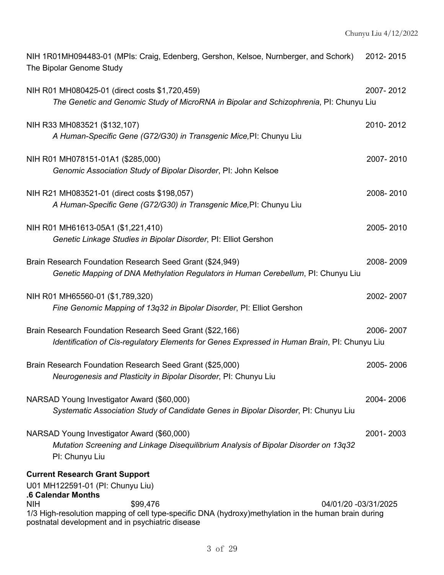| NIH 1R01MH094483-01 (MPIs: Craig, Edenberg, Gershon, Kelsoe, Nurnberger, and Schork)<br>The Bipolar Genome Study                                                                                                                                                                                              | 2012-2015 |
|---------------------------------------------------------------------------------------------------------------------------------------------------------------------------------------------------------------------------------------------------------------------------------------------------------------|-----------|
| NIH R01 MH080425-01 (direct costs \$1,720,459)<br>The Genetic and Genomic Study of MicroRNA in Bipolar and Schizophrenia, PI: Chunyu Liu                                                                                                                                                                      | 2007-2012 |
| NIH R33 MH083521 (\$132,107)<br>A Human-Specific Gene (G72/G30) in Transgenic Mice, PI: Chunyu Liu                                                                                                                                                                                                            | 2010-2012 |
| NIH R01 MH078151-01A1 (\$285,000)<br>Genomic Association Study of Bipolar Disorder, PI: John Kelsoe                                                                                                                                                                                                           | 2007-2010 |
| NIH R21 MH083521-01 (direct costs \$198,057)<br>A Human-Specific Gene (G72/G30) in Transgenic Mice, PI: Chunyu Liu                                                                                                                                                                                            | 2008-2010 |
| NIH R01 MH61613-05A1 (\$1,221,410)<br>Genetic Linkage Studies in Bipolar Disorder, PI: Elliot Gershon                                                                                                                                                                                                         | 2005-2010 |
| Brain Research Foundation Research Seed Grant (\$24,949)<br>Genetic Mapping of DNA Methylation Regulators in Human Cerebellum, PI: Chunyu Liu                                                                                                                                                                 | 2008-2009 |
| NIH R01 MH65560-01 (\$1,789,320)<br>Fine Genomic Mapping of 13q32 in Bipolar Disorder, PI: Elliot Gershon                                                                                                                                                                                                     | 2002-2007 |
| Brain Research Foundation Research Seed Grant (\$22,166)<br>Identification of Cis-regulatory Elements for Genes Expressed in Human Brain, PI: Chunyu Liu                                                                                                                                                      | 2006-2007 |
| Brain Research Foundation Research Seed Grant (\$25,000)<br>Neurogenesis and Plasticity in Bipolar Disorder, PI: Chunyu Liu                                                                                                                                                                                   | 2005-2006 |
| NARSAD Young Investigator Award (\$60,000)<br>Systematic Association Study of Candidate Genes in Bipolar Disorder, PI: Chunyu Liu                                                                                                                                                                             | 2004-2006 |
| NARSAD Young Investigator Award (\$60,000)<br>Mutation Screening and Linkage Disequilibrium Analysis of Bipolar Disorder on 13q32<br>PI: Chunyu Liu                                                                                                                                                           | 2001-2003 |
| <b>Current Research Grant Support</b><br>U01 MH122591-01 (PI: Chunyu Liu)<br>.6 Calendar Months<br>\$99,476<br><b>NIH</b><br>04/01/20 -03/31/2025<br>1/3 High-resolution mapping of cell type-specific DNA (hydroxy)methylation in the human brain during<br>postnatal development and in psychiatric disease |           |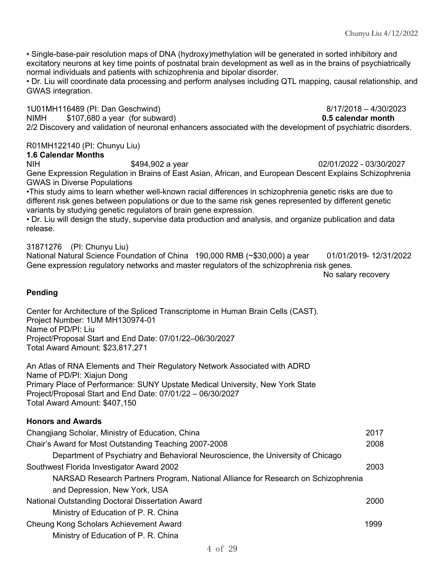• Single-base-pair resolution maps of DNA (hydroxy)methylation will be generated in sorted inhibitory and excitatory neurons at key time points of postnatal brain development as well as in the brains of psychiatrically normal individuals and patients with schizophrenia and bipolar disorder.

• Dr. Liu will coordinate data processing and perform analyses including QTL mapping, causal relationship, and GWAS integration.

1U01MH116489 (PI: Dan Geschwind) 8/17/2018 – 4/30/2023 NIMH \$107,680 a year (for subward) **0.5 calendar month** 2/2 Discovery and validation of neuronal enhancers associated with the development of psychiatric disorders.

R01MH122140 (PI: Chunyu Liu)

**1.6 Calendar Months**

NIH \$494,902 a year 02/01/2022 - 03/30/2027 Gene Expression Regulation in Brains of East Asian, African, and European Descent Explains Schizophrenia GWAS in Diverse Populations

•This study aims to learn whether well-known racial differences in schizophrenia genetic risks are due to different risk genes between populations or due to the same risk genes represented by different genetic variants by studying genetic regulators of brain gene expression.

• Dr. Liu will design the study, supervise data production and analysis, and organize publication and data release.

#### 31871276 (PI: Chunyu Liu)

National Natural Science Foundation of China 190,000 RMB (~\$30,000) a year 01/01/2019- 12/31/2022 Gene expression regulatory networks and master regulators of the schizophrenia risk genes.

No salary recovery

#### **Pending**

Center for Architecture of the Spliced Transcriptome in Human Brain Cells (CAST). Project Number: 1UM MH130974-01 Name of PD/PI: Liu Project/Proposal Start and End Date: 07/01/22–06/30/2027 Total Award Amount: \$23,817,271

An Atlas of RNA Elements and Their Regulatory Network Associated with ADRD Name of PD/PI: Xiajun Dong Primary Place of Performance: SUNY Upstate Medical University, New York State Project/Proposal Start and End Date: 07/01/22 – 06/30/2027 Total Award Amount: \$407,150

#### **Honors and Awards**

| Changjiang Scholar, Ministry of Education, China                                  | 2017 |
|-----------------------------------------------------------------------------------|------|
| Chair's Award for Most Outstanding Teaching 2007-2008                             | 2008 |
| Department of Psychiatry and Behavioral Neuroscience, the University of Chicago   |      |
| Southwest Florida Investigator Award 2002                                         | 2003 |
| NARSAD Research Partners Program, National Alliance for Research on Schizophrenia |      |
| and Depression, New York, USA                                                     |      |
| National Outstanding Doctoral Dissertation Award                                  | 2000 |
| Ministry of Education of P. R. China                                              |      |
| Cheung Kong Scholars Achievement Award                                            | 1999 |
| Ministry of Education of P. R. China                                              |      |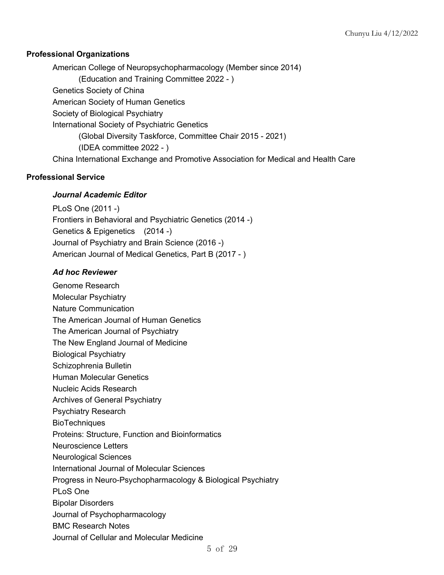### **Professional Organizations**

American College of Neuropsychopharmacology (Member since 2014) (Education and Training Committee 2022 - ) Genetics Society of China American Society of Human Genetics Society of Biological Psychiatry International Society of Psychiatric Genetics (Global Diversity Taskforce, Committee Chair 2015 - 2021) (IDEA committee 2022 - ) China International Exchange and Promotive Association for Medical and Health Care

### **Professional Service**

#### *Journal Academic Editor*

PLoS One (2011 -) Frontiers in Behavioral and Psychiatric Genetics (2014 -) Genetics & Epigenetics (2014 -) Journal of Psychiatry and Brain Science (2016 -) American Journal of Medical Genetics, Part B (2017 - )

### *Ad hoc Reviewer*

Genome Research Molecular Psychiatry Nature Communication The American Journal of Human Genetics The American Journal of Psychiatry The New England Journal of Medicine Biological Psychiatry Schizophrenia Bulletin Human Molecular Genetics Nucleic Acids Research Archives of General Psychiatry Psychiatry Research **BioTechniques** Proteins: Structure, Function and Bioinformatics Neuroscience Letters Neurological Sciences International Journal of Molecular Sciences Progress in Neuro-Psychopharmacology & Biological Psychiatry PLoS One Bipolar Disorders Journal of Psychopharmacology BMC Research Notes Journal of Cellular and Molecular Medicine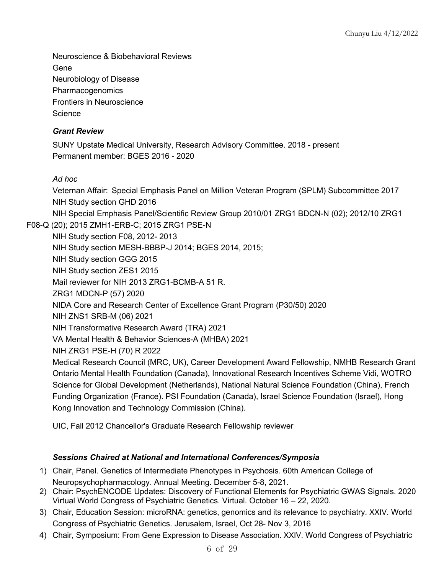Neuroscience & Biobehavioral Reviews Gene Neurobiology of Disease Pharmacogenomics Frontiers in Neuroscience **Science** 

## *Grant Review*

SUNY Upstate Medical University, Research Advisory Committee. 2018 - present Permanent member: BGES 2016 - 2020

# *Ad hoc*

Veternan Affair: Special Emphasis Panel on Million Veteran Program (SPLM) Subcommittee 2017 NIH Study section GHD 2016 NIH Special Emphasis Panel/Scientific Review Group 2010/01 ZRG1 BDCN-N (02); 2012/10 ZRG1 F08-Q (20); 2015 ZMH1-ERB-C; 2015 ZRG1 PSE-N NIH Study section F08, 2012- 2013 NIH Study section MESH-BBBP-J 2014; BGES 2014, 2015; NIH Study section GGG 2015 NIH Study section ZES1 2015 Mail reviewer for NIH 2013 ZRG1-BCMB-A 51 R. ZRG1 MDCN-P (57) 2020 NIDA Core and Research Center of Excellence Grant Program (P30/50) 2020 NIH ZNS1 SRB-M (06) 2021 NIH Transformative Research Award (TRA) 2021 VA Mental Health & Behavior Sciences-A (MHBA) 2021 NIH ZRG1 PSE-H (70) R 2022 Medical Research Council (MRC, UK), Career Development Award Fellowship, NMHB Research Grant Ontario Mental Health Foundation (Canada), Innovational Research Incentives Scheme Vidi, WOTRO Science for Global Development (Netherlands), National Natural Science Foundation (China), French Funding Organization (France). PSI Foundation (Canada), Israel Science Foundation (Israel), Hong Kong Innovation and Technology Commission (China).

UIC, Fall 2012 Chancellor's Graduate Research Fellowship reviewer

# *Sessions Chaired at National and International Conferences/Symposia*

- 1) Chair, Panel. Genetics of Intermediate Phenotypes in Psychosis. 60th American College of Neuropsychopharmacology. Annual Meeting. December 5-8, 2021.
- 2) Chair: PsychENCODE Updates: Discovery of Functional Elements for Psychiatric GWAS Signals. 2020 Virtual World Congress of Psychiatric Genetics. Virtual. October 16 – 22, 2020.
- 3) Chair, Education Session: microRNA: genetics, genomics and its relevance to psychiatry. XXIV. World Congress of Psychiatric Genetics. Jerusalem, Israel, Oct 28- Nov 3, 2016
- 4) Chair, Symposium: From Gene Expression to Disease Association. XXIV. World Congress of Psychiatric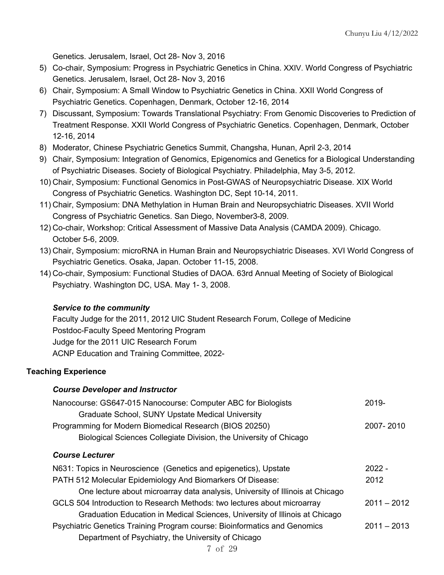Genetics. Jerusalem, Israel, Oct 28- Nov 3, 2016

- 5) Co-chair, Symposium: Progress in Psychiatric Genetics in China. XXIV. World Congress of Psychiatric Genetics. Jerusalem, Israel, Oct 28- Nov 3, 2016
- 6) Chair, Symposium: A Small Window to Psychiatric Genetics in China. XXII World Congress of Psychiatric Genetics. Copenhagen, Denmark, October 12-16, 2014
- 7) Discussant, Symposium: Towards Translational Psychiatry: From Genomic Discoveries to Prediction of Treatment Response. XXII World Congress of Psychiatric Genetics. Copenhagen, Denmark, October 12-16, 2014
- 8) Moderator, Chinese Psychiatric Genetics Summit, Changsha, Hunan, April 2-3, 2014
- 9) Chair, Symposium: Integration of Genomics, Epigenomics and Genetics for a Biological Understanding of Psychiatric Diseases. Society of Biological Psychiatry. Philadelphia, May 3-5, 2012.
- 10) Chair, Symposium: Functional Genomics in Post-GWAS of Neuropsychiatric Disease. XIX World Congress of Psychiatric Genetics. Washington DC, Sept 10-14, 2011.
- 11) Chair, Symposium: DNA Methylation in Human Brain and Neuropsychiatric Diseases. XVII World Congress of Psychiatric Genetics. San Diego, November3-8, 2009.
- 12) Co-chair, Workshop: Critical Assessment of Massive Data Analysis (CAMDA 2009). Chicago. October 5-6, 2009.
- 13) Chair, Symposium: microRNA in Human Brain and Neuropsychiatric Diseases. XVI World Congress of Psychiatric Genetics. Osaka, Japan. October 11-15, 2008.
- 14) Co-chair, Symposium: Functional Studies of DAOA. 63rd Annual Meeting of Society of Biological Psychiatry. Washington DC, USA. May 1- 3, 2008.

#### *Service to the community*

Faculty Judge for the 2011, 2012 UIC Student Research Forum, College of Medicine Postdoc-Faculty Speed Mentoring Program Judge for the 2011 UIC Research Forum ACNP Education and Training Committee, 2022-

#### **Teaching Experience**

#### *Course Developer and Instructor*

| Nanocourse: GS647-015 Nanocourse: Computer ABC for Biologists<br>Graduate School, SUNY Upstate Medical University | $2019 -$      |  |
|-------------------------------------------------------------------------------------------------------------------|---------------|--|
| Programming for Modern Biomedical Research (BIOS 20250)                                                           | 2007-2010     |  |
| Biological Sciences Collegiate Division, the University of Chicago                                                |               |  |
| <b>Course Lecturer</b>                                                                                            |               |  |
| N631: Topics in Neuroscience (Genetics and epigenetics), Upstate                                                  | $2022 -$      |  |
| PATH 512 Molecular Epidemiology And Biomarkers Of Disease:                                                        | 2012          |  |
| One lecture about microarray data analysis, University of Illinois at Chicago                                     |               |  |
| GCLS 504 Introduction to Research Methods: two lectures about microarray                                          | $2011 - 2012$ |  |
| Graduation Education in Medical Sciences, University of Illinois at Chicago                                       |               |  |
| Psychiatric Genetics Training Program course: Bioinformatics and Genomics                                         | $2011 - 2013$ |  |

Department of Psychiatry, the University of Chicago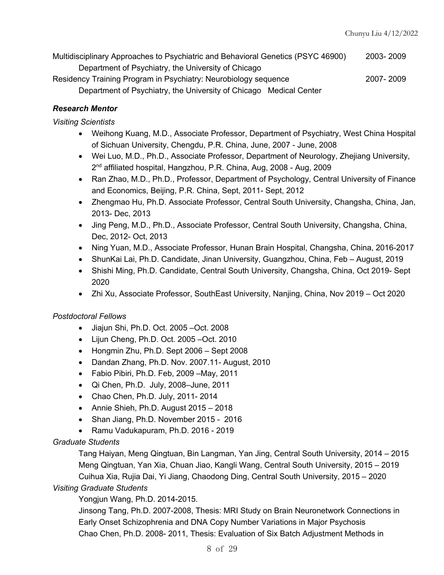Multidisciplinary Approaches to Psychiatric and Behavioral Genetics (PSYC 46900) 2003- 2009 Department of Psychiatry, the University of Chicago

Residency Training Program in Psychiatry: Neurobiology sequence 2007- 2009

Department of Psychiatry, the University of Chicago Medical Center

### *Research Mentor*

*Visiting Scientists*

- Weihong Kuang, M.D., Associate Professor, Department of Psychiatry, West China Hospital of Sichuan University, Chengdu, P.R. China, June, 2007 - June, 2008
- Wei Luo, M.D., Ph.D., Associate Professor, Department of Neurology, Zhejiang University, 2<sup>nd</sup> affiliated hospital, Hangzhou, P.R. China, Aug, 2008 - Aug, 2009
- Ran Zhao, M.D., Ph.D., Professor, Department of Psychology, Central University of Finance and Economics, Beijing, P.R. China, Sept, 2011- Sept, 2012
- Zhengmao Hu, Ph.D. Associate Professor, Central South University, Changsha, China, Jan, 2013- Dec, 2013
- Jing Peng, M.D., Ph.D., Associate Professor, Central South University, Changsha, China, Dec, 2012- Oct, 2013
- Ning Yuan, M.D., Associate Professor, Hunan Brain Hospital, Changsha, China, 2016-2017
- ShunKai Lai, Ph.D. Candidate, Jinan University, Guangzhou, China, Feb August, 2019
- Shishi Ming, Ph.D. Candidate, Central South University, Changsha, China, Oct 2019- Sept 2020
- Zhi Xu, Associate Professor, SouthEast University, Nanjing, China, Nov 2019 Oct 2020

#### *Postdoctoral Fellows*

- Jiajun Shi, Ph.D. Oct. 2005 –Oct. 2008
- Lijun Cheng, Ph.D. Oct. 2005 –Oct. 2010
- Hongmin Zhu, Ph.D. Sept 2006 Sept 2008
- Dandan Zhang, Ph.D. Nov. 2007.11- August, 2010
- Fabio Pibiri, Ph.D. Feb, 2009 –May, 2011
- Qi Chen, Ph.D. July, 2008–June, 2011
- Chao Chen, Ph.D. July, 2011- 2014
- Annie Shieh, Ph.D. August 2015 2018
- Shan Jiang, Ph.D. November 2015 2016
- Ramu Vadukapuram, Ph.D. 2016 2019

## *Graduate Students*

Tang Haiyan, Meng Qingtuan, Bin Langman, Yan Jing, Central South University, 2014 – 2015 Meng Qingtuan, Yan Xia, Chuan Jiao, Kangli Wang, Central South University, 2015 – 2019 Cuihua Xia, Rujia Dai, Yi Jiang, Chaodong Ding, Central South University, 2015 – 2020

## *Visiting Graduate Students*

Yongjun Wang, Ph.D. 2014-2015.

Jinsong Tang, Ph.D. 2007-2008, Thesis: MRI Study on Brain Neuronetwork Connections in Early Onset Schizophrenia and DNA Copy Number Variations in Major Psychosis Chao Chen, Ph.D. 2008- 2011, Thesis: Evaluation of Six Batch Adjustment Methods in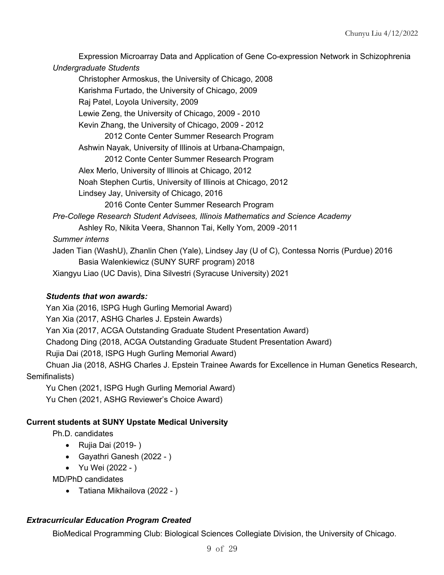Expression Microarray Data and Application of Gene Co-expression Network in Schizophrenia *Undergraduate Students*

Christopher Armoskus, the University of Chicago, 2008 Karishma Furtado, the University of Chicago, 2009 Raj Patel, Loyola University, 2009 Lewie Zeng, the University of Chicago, 2009 - 2010 Kevin Zhang, the University of Chicago, 2009 - 2012 2012 Conte Center Summer Research Program Ashwin Nayak, University of Illinois at Urbana-Champaign, 2012 Conte Center Summer Research Program Alex Merlo, University of Illinois at Chicago, 2012 Noah Stephen Curtis, University of Illinois at Chicago, 2012 Lindsey Jay, University of Chicago, 2016 2016 Conte Center Summer Research Program *Pre-College Research Student Advisees, Illinois Mathematics and Science Academy* Ashley Ro, Nikita Veera, Shannon Tai, Kelly Yom, 2009 -2011 *Summer interns* Jaden Tian (WashU), Zhanlin Chen (Yale), Lindsey Jay (U of C), Contessa Norris (Purdue) 2016 Basia Walenkiewicz (SUNY SURF program) 2018 Xiangyu Liao (UC Davis), Dina Silvestri (Syracuse University) 2021

## *Students that won awards:*

Yan Xia (2016, ISPG Hugh Gurling Memorial Award) Yan Xia (2017, ASHG Charles J. Epstein Awards) Yan Xia (2017, ACGA Outstanding Graduate Student Presentation Award) Chadong Ding (2018, ACGA Outstanding Graduate Student Presentation Award) Rujia Dai (2018, ISPG Hugh Gurling Memorial Award) Chuan Jia (2018, ASHG Charles J. Epstein Trainee Awards for Excellence in Human Genetics Research, Semifinalists)

Yu Chen (2021, ISPG Hugh Gurling Memorial Award) Yu Chen (2021, ASHG Reviewer's Choice Award)

## **Current students at SUNY Upstate Medical University**

Ph.D. candidates

- Rujia Dai (2019- )
- Gayathri Ganesh (2022 )
- Yu Wei (2022 )

MD/PhD candidates

• Tatiana Mikhailova (2022 - )

## *Extracurricular Education Program Created*

BioMedical Programming Club: Biological Sciences Collegiate Division, the University of Chicago.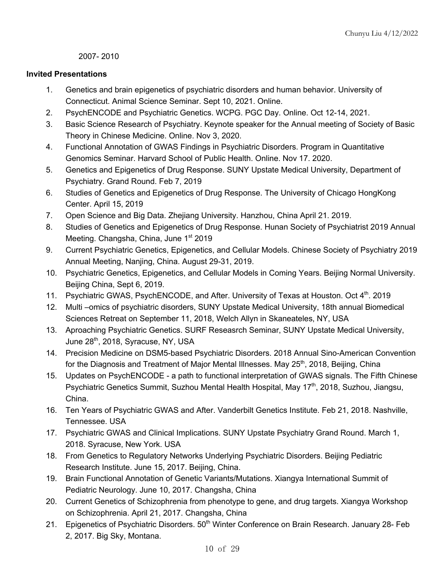## 2007- 2010

#### **Invited Presentations**

- 1. Genetics and brain epigenetics of psychiatric disorders and human behavior. University of Connecticut. Animal Science Seminar. Sept 10, 2021. Online.
- 2. PsychENCODE and Psychiatric Genetics. WCPG. PGC Day. Online. Oct 12-14, 2021.
- 3. Basic Science Research of Psychiatry. Keynote speaker for the Annual meeting of Society of Basic Theory in Chinese Medicine. Online. Nov 3, 2020.
- 4. Functional Annotation of GWAS Findings in Psychiatric Disorders. Program in Quantitative Genomics Seminar. Harvard School of Public Health. Online. Nov 17. 2020.
- 5. Genetics and Epigenetics of Drug Response. SUNY Upstate Medical University, Department of Psychiatry. Grand Round. Feb 7, 2019
- 6. Studies of Genetics and Epigenetics of Drug Response. The University of Chicago HongKong Center. April 15, 2019
- 7. Open Science and Big Data. Zhejiang University. Hanzhou, China April 21. 2019.
- 8. Studies of Genetics and Epigenetics of Drug Response. Hunan Society of Psychiatrist 2019 Annual Meeting. Changsha, China, June 1<sup>st</sup> 2019
- 9. Current Psychiatric Genetics, Epigenetics, and Cellular Models. Chinese Society of Psychiatry 2019 Annual Meeting, Nanjing, China. August 29-31, 2019.
- 10. Psychiatric Genetics, Epigenetics, and Cellular Models in Coming Years. Beijing Normal University. Beijing China, Sept 6, 2019.
- 11. Psychiatric GWAS, PsychENCODE, and After. University of Texas at Houston. Oct 4<sup>th</sup>. 2019
- 12. Multi –omics of psychiatric disorders, SUNY Upstate Medical University, 18th annual Biomedical Sciences Retreat on September 11, 2018, Welch Allyn in Skaneateles, NY, USA
- 13. Aproaching Psychiatric Genetics. SURF Reseasrch Seminar, SUNY Upstate Medical University, June 28<sup>th</sup>, 2018, Syracuse, NY, USA
- 14. Precision Medicine on DSM5-based Psychiatric Disorders. 2018 Annual Sino-American Convention for the Diagnosis and Treatment of Major Mental Illnesses. May  $25<sup>th</sup>$ , 2018, Beijing, China
- 15. Updates on PsychENCODE a path to functional interpretation of GWAS signals. The Fifth Chinese Psychiatric Genetics Summit, Suzhou Mental Health Hospital, May 17<sup>th</sup>, 2018, Suzhou, Jiangsu, China.
- 16. Ten Years of Psychiatric GWAS and After. Vanderbilt Genetics Institute. Feb 21, 2018. Nashville, Tennessee. USA
- 17. Psychiatric GWAS and Clinical Implications. SUNY Upstate Psychiatry Grand Round. March 1, 2018. Syracuse, New York. USA
- 18. From Genetics to Regulatory Networks Underlying Psychiatric Disorders. Beijing Pediatric Research Institute. June 15, 2017. Beijing, China.
- 19. Brain Functional Annotation of Genetic Variants/Mutations. Xiangya International Summit of Pediatric Neurology. June 10, 2017. Changsha, China
- 20. Current Genetics of Schizophrenia from phenotype to gene, and drug targets. Xiangya Workshop on Schizophrenia. April 21, 2017. Changsha, China
- 21. Epigenetics of Psychiatric Disorders. 50<sup>th</sup> Winter Conference on Brain Research. January 28- Feb 2, 2017. Big Sky, Montana.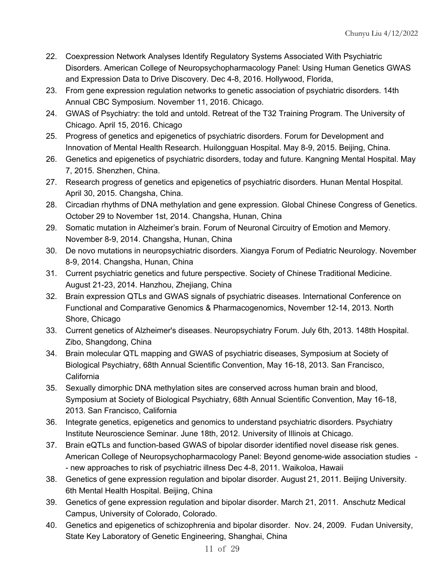- 22. Coexpression Network Analyses Identify Regulatory Systems Associated With Psychiatric Disorders. American College of Neuropsychopharmacology Panel: Using Human Genetics GWAS and Expression Data to Drive Discovery. Dec 4-8, 2016. Hollywood, Florida,
- 23. From gene expression regulation networks to genetic association of psychiatric disorders. 14th Annual CBC Symposium. November 11, 2016. Chicago.
- 24. GWAS of Psychiatry: the told and untold. Retreat of the T32 Training Program. The University of Chicago. April 15, 2016. Chicago
- 25. Progress of genetics and epigenetics of psychiatric disorders. Forum for Development and Innovation of Mental Health Research. Huilongguan Hospital. May 8-9, 2015. Beijing, China.
- 26. Genetics and epigenetics of psychiatric disorders, today and future. Kangning Mental Hospital. May 7, 2015. Shenzhen, China.
- 27. Research progress of genetics and epigenetics of psychiatric disorders. Hunan Mental Hospital. April 30, 2015. Changsha, China.
- 28. Circadian rhythms of DNA methylation and gene expression. Global Chinese Congress of Genetics. October 29 to November 1st, 2014. Changsha, Hunan, China
- 29. Somatic mutation in Alzheimer's brain. Forum of Neuronal Circuitry of Emotion and Memory. November 8-9, 2014. Changsha, Hunan, China
- 30. De novo mutations in neuropsychiatric disorders. Xiangya Forum of Pediatric Neurology. November 8-9, 2014. Changsha, Hunan, China
- 31. Current psychiatric genetics and future perspective. Society of Chinese Traditional Medicine. August 21-23, 2014. Hanzhou, Zhejiang, China
- 32. Brain expression QTLs and GWAS signals of psychiatric diseases. International Conference on Functional and Comparative Genomics & Pharmacogenomics, November 12-14, 2013. North Shore, Chicago
- 33. Current genetics of Alzheimer's diseases. Neuropsychiatry Forum. July 6th, 2013. 148th Hospital. Zibo, Shangdong, China
- 34. Brain molecular QTL mapping and GWAS of psychiatric diseases, Symposium at Society of Biological Psychiatry, 68th Annual Scientific Convention, May 16-18, 2013. San Francisco, California
- 35. Sexually dimorphic DNA methylation sites are conserved across human brain and blood, Symposium at Society of Biological Psychiatry, 68th Annual Scientific Convention, May 16-18, 2013. San Francisco, California
- 36. Integrate genetics, epigenetics and genomics to understand psychiatric disorders. Psychiatry Institute Neuroscience Seminar. June 18th, 2012. University of Illinois at Chicago.
- 37. Brain eQTLs and function-based GWAS of bipolar disorder identified novel disease risk genes. American College of Neuropsychopharmacology Panel: Beyond genome-wide association studies - - new approaches to risk of psychiatric illness Dec 4-8, 2011. Waikoloa, Hawaii
- 38. Genetics of gene expression regulation and bipolar disorder. August 21, 2011. Beijing University. 6th Mental Health Hospital. Beijing, China
- 39. Genetics of gene expression regulation and bipolar disorder. March 21, 2011. Anschutz Medical Campus, University of Colorado, Colorado.
- 40. Genetics and epigenetics of schizophrenia and bipolar disorder. Nov. 24, 2009. Fudan University, State Key Laboratory of Genetic Engineering, Shanghai, China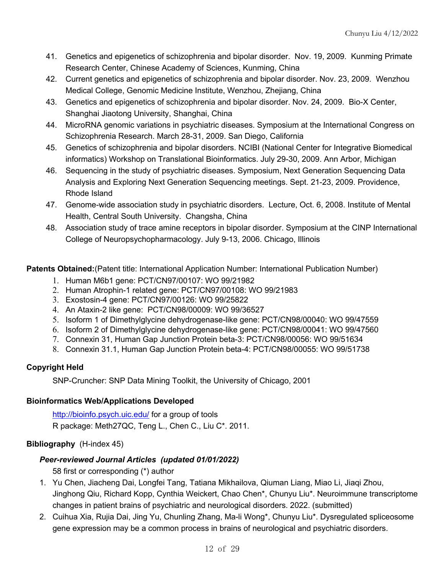- 41. Genetics and epigenetics of schizophrenia and bipolar disorder. Nov. 19, 2009. Kunming Primate Research Center, Chinese Academy of Sciences, Kunming, China
- 42. Current genetics and epigenetics of schizophrenia and bipolar disorder. Nov. 23, 2009. Wenzhou Medical College, Genomic Medicine Institute, Wenzhou, Zhejiang, China
- 43. Genetics and epigenetics of schizophrenia and bipolar disorder. Nov. 24, 2009. Bio-X Center, Shanghai Jiaotong University, Shanghai, China
- 44. MicroRNA genomic variations in psychiatric diseases. Symposium at the International Congress on Schizophrenia Research. March 28-31, 2009. San Diego, California
- 45. Genetics of schizophrenia and bipolar disorders. NCIBI (National Center for Integrative Biomedical informatics) Workshop on Translational Bioinformatics. July 29-30, 2009. Ann Arbor, Michigan
- 46. Sequencing in the study of psychiatric diseases. Symposium, Next Generation Sequencing Data Analysis and Exploring Next Generation Sequencing meetings. Sept. 21-23, 2009. Providence, Rhode Island
- 47. Genome-wide association study in psychiatric disorders. Lecture, Oct. 6, 2008. Institute of Mental Health, Central South University. Changsha, China
- 48. Association study of trace amine receptors in bipolar disorder. Symposium at the CINP International College of Neuropsychopharmacology. July 9-13, 2006. Chicago, Illinois

**Patents Obtained:**(Patent title: International Application Number: International Publication Number)

- 1. Human M6b1 gene: PCT/CN97/00107: WO 99/21982
- 2. Human Atrophin-1 related gene: PCT/CN97/00108: WO 99/21983
- 3. Exostosin-4 gene: PCT/CN97/00126: WO 99/25822
- 4. An Ataxin-2 like gene: PCT/CN98/00009: WO 99/36527
- 5. Isoform 1 of Dimethylglycine dehydrogenase-like gene: PCT/CN98/00040: WO 99/47559
- 6. Isoform 2 of Dimethylglycine dehydrogenase-like gene: PCT/CN98/00041: WO 99/47560
- 7. Connexin 31, Human Gap Junction Protein beta-3: PCT/CN98/00056: WO 99/51634
- 8. Connexin 31.1, Human Gap Junction Protein beta-4: PCT/CN98/00055: WO 99/51738

## **Copyright Held**

SNP-Cruncher: SNP Data Mining Toolkit, the University of Chicago, 2001

#### **Bioinformatics Web/Applications Developed**

http://bioinfo.psych.uic.edu/ for a group of tools R package: Meth27QC, Teng L., Chen C., Liu C\*. 2011.

## **Bibliography** (H-index 45)

## *Peer-reviewed Journal Articles (updated 01/01/2022)*

58 first or corresponding (\*) author

- 1. Yu Chen, Jiacheng Dai, Longfei Tang, Tatiana Mikhailova, Qiuman Liang, Miao Li, Jiaqi Zhou, Jinghong Qiu, Richard Kopp, Cynthia Weickert, Chao Chen\*, Chunyu Liu\*. Neuroimmune transcriptome changes in patient brains of psychiatric and neurological disorders. 2022. (submitted)
- 2. Cuihua Xia, Rujia Dai, Jing Yu, Chunling Zhang, Ma-li Wong\*, Chunyu Liu\*. Dysregulated spliceosome gene expression may be a common process in brains of neurological and psychiatric disorders.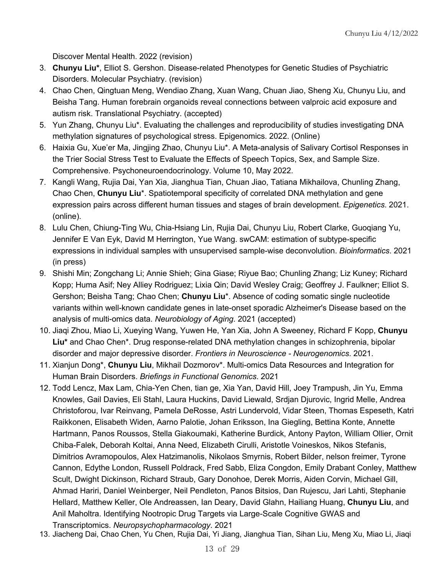Discover Mental Health. 2022 (revision)

- 3. **Chunyu Liu\***, Elliot S. Gershon. Disease-related Phenotypes for Genetic Studies of Psychiatric Disorders. Molecular Psychiatry. (revision)
- 4. Chao Chen, Qingtuan Meng, Wendiao Zhang, Xuan Wang, Chuan Jiao, Sheng Xu, Chunyu Liu, and Beisha Tang. Human forebrain organoids reveal connections between valproic acid exposure and autism risk. Translational Psychiatry. (accepted)
- 5. Yun Zhang, Chunyu Liu\*. Evaluating the challenges and reproducibility of studies investigating DNA methylation signatures of psychological stress. Epigenomics. 2022. (Online)
- 6. Haixia Gu, Xue'er Ma, Jingjing Zhao, Chunyu Liu\*. A Meta-analysis of Salivary Cortisol Responses in the Trier Social Stress Test to Evaluate the Effects of Speech Topics, Sex, and Sample Size. Comprehensive. Psychoneuroendocrinology. Volume 10, May 2022.
- 7. Kangli Wang, Rujia Dai, Yan Xia, Jianghua Tian, Chuan Jiao, Tatiana Mikhailova, Chunling Zhang, Chao Chen, **Chunyu Liu**\*. Spatiotemporal specificity of correlated DNA methylation and gene expression pairs across different human tissues and stages of brain development. *Epigenetics*. 2021. (online).
- 8. Lulu Chen, Chiung-Ting Wu, Chia-Hsiang Lin, Rujia Dai, Chunyu Liu, Robert Clarke, Guoqiang Yu, Jennifer E Van Eyk, David M Herrington, Yue Wang. swCAM: estimation of subtype-specific expressions in individual samples with unsupervised sample-wise deconvolution. *Bioinformatics*. 2021 (in press)
- 9. Shishi Min; Zongchang Li; Annie Shieh; Gina Giase; Riyue Bao; Chunling Zhang; Liz Kuney; Richard Kopp; Huma Asif; Ney Alliey Rodriguez; Lixia Qin; David Wesley Craig; Geoffrey J. Faulkner; Elliot S. Gershon; Beisha Tang; Chao Chen; **Chunyu Liu**\*. Absence of coding somatic single nucleotide variants within well-known candidate genes in late-onset sporadic Alzheimer's Disease based on the analysis of multi-omics data. *Neurobiology of Aging*. 2021 (accepted)
- 10. Jiaqi Zhou, Miao Li, Xueying Wang, Yuwen He, Yan Xia, John A Sweeney, Richard F Kopp, **Chunyu Liu\*** and Chao Chen\*. Drug response-related DNA methylation changes in schizophrenia, bipolar disorder and major depressive disorder. *Frontiers in Neuroscience - Neurogenomics*. 2021.
- 11. Xianjun Dong\*, **Chunyu Liu**, Mikhail Dozmorov\*. Multi-omics Data Resources and Integration for Human Brain Disorders. *Briefings in Functional Genomics*. 2021
- 12. Todd Lencz, Max Lam, Chia-Yen Chen, tian ge, Xia Yan, David Hill, Joey Trampush, Jin Yu, Emma Knowles, Gail Davies, Eli Stahl, Laura Huckins, David Liewald, Srdjan Djurovic, Ingrid Melle, Andrea Christoforou, Ivar Reinvang, Pamela DeRosse, Astri Lundervold, Vidar Steen, Thomas Espeseth, Katri Raikkonen, Elisabeth Widen, Aarno Palotie, Johan Eriksson, Ina Giegling, Bettina Konte, Annette Hartmann, Panos Roussos, Stella Giakoumaki, Katherine Burdick, Antony Payton, William Ollier, Ornit Chiba-Falek, Deborah Koltai, Anna Need, Elizabeth Cirulli, Aristotle Voineskos, Nikos Stefanis, Dimitrios Avramopoulos, Alex Hatzimanolis, Nikolaos Smyrnis, Robert Bilder, nelson freimer, Tyrone Cannon, Edythe London, Russell Poldrack, Fred Sabb, Eliza Congdon, Emily Drabant Conley, Matthew Scult, Dwight Dickinson, Richard Straub, Gary Donohoe, Derek Morris, Aiden Corvin, Michael Gill, Ahmad Hariri, Daniel Weinberger, Neil Pendleton, Panos Bitsios, Dan Rujescu, Jari Lahti, Stephanie Hellard, Matthew Keller, Ole Andreassen, Ian Deary, David Glahn, Hailiang Huang, **Chunyu Liu**, and Anil Maholtra. Identifying Nootropic Drug Targets via Large-Scale Cognitive GWAS and Transcriptomics. *Neuropsychopharmacology*. 2021
- 13. Jiacheng Dai, Chao Chen, Yu Chen, Rujia Dai, Yi Jiang, Jianghua Tian, Sihan Liu, Meng Xu, Miao Li, Jiaqi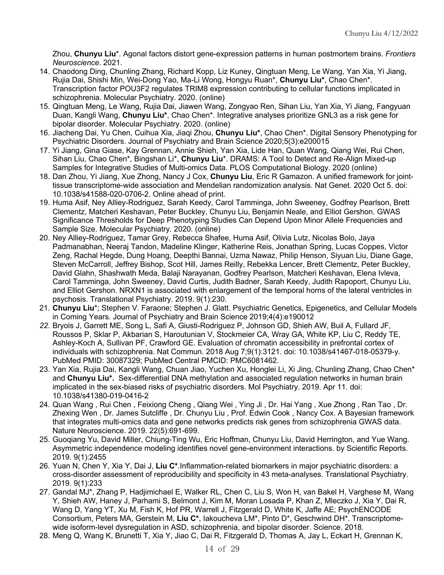Zhou, **Chunyu Liu**\*. Agonal factors distort gene-expression patterns in human postmortem brains. *Frontiers Neuroscience*. 2021.

- 14. Chaodong Ding, Chunling Zhang, Richard Kopp, Liz Kuney, Qingtuan Meng, Le Wang, Yan Xia, Yi Jiang, Rujia Dai, Shishi Min, Wei-Dong Yao, Ma-Li Wong, Hongyu Ruan\*, **Chunyu Liu\***, Chao Chen\*. Transcription factor POU3F2 regulates TRIM8 expression contributing to cellular functions implicated in schizophrenia. Molecular Psychiatry. 2020. (online)
- 15. Qingtuan Meng, Le Wang, Rujia Dai, Jiawen Wang, Zongyao Ren, Sihan Liu, Yan Xia, Yi Jiang, Fangyuan Duan, Kangli Wang, **Chunyu Liu\***, Chao Chen\*. Integrative analyses prioritize GNL3 as a risk gene for bipolar disorder. Molecular Psychiatry. 2020. (online)
- 16. Jiacheng Dai, Yu Chen, Cuihua Xia, Jiaqi Zhou, **Chunyu Liu\***, Chao Chen\*. Digital Sensory Phenotyping for Psychiatric Disorders. Journal of Psychiatry and Brain Science 2020;5(3):e200015
- 17. Yi Jiang, Gina Giase, Kay Grennan, Annie Shieh, Yan Xia, Lide Han, Quan Wang, Qiang Wei, Rui Chen, Sihan Liu, Chao Chen\*, Bingshan Li\*, **Chunyu Liu**\*. DRAMS: A Tool to Detect and Re-Align Mixed-up Samples for Integrative Studies of Multi-omics Data. PLOS Computational Biology. 2020 (online)
- 18. Dan Zhou, Yi Jiang, Xue Zhong, Nancy J Cox, **Chunyu Liu**, Eric R Gamazon. A unified framework for jointtissue transcriptome-wide association and Mendelian randomization analysis. Nat Genet. 2020 Oct 5. doi: 10.1038/s41588-020-0706-2. Online ahead of print.
- 19. Huma Asif, Ney Alliey-Rodriguez, Sarah Keedy, Carol Tamminga, John Sweeney, Godfrey Pearlson, Brett Clementz, Matcheri Keshavan, Peter Buckley, Chunyu Liu, Benjamin Neale, and Elliot Gershon. GWAS Significance Thresholds for Deep Phenotyping Studies Can Depend Upon Minor Allele Frequencies and Sample Size. Molecular Psychiatry. 2020. (online)
- 20. Ney Alliey-Rodriguez, Tamar Grey, Rebecca Shafee, Huma Asif, Olivia Lutz, Nicolas Bolo, Jaya Padmanabhan, Neeraj Tandon, Madeline Klinger, Katherine Reis, Jonathan Spring, Lucas Coppes, Victor Zeng, Rachal Hegde, Dung Hoang, Deepthi Bannai, Uzma Nawaz, Philip Henson, Siyuan Liu, Diane Gage, Steven McCarroll, Jeffrey Bishop, Scot Hill, James Reilly, Rebekka Lencer, Brett Clementz, Peter Buckley, David Glahn, Shashwath Meda, Balaji Narayanan, Godfrey Pearlson, Matcheri Keshavan, Elena Ivleva, Carol Tamminga, John Sweeney, David Curtis, Judith Badner, Sarah Keedy, Judith Rapoport, Chunyu Liu, and Elliot Gershon. NRXN1 is associated with enlargement of the temporal horns of the lateral ventricles in psychosis. Translational Psychiatry. 2019. 9(1):230.
- 21. **Chunyu Liu**\*; Stephen V. Faraone; Stephen J. Glatt. Psychiatric Genetics, Epigenetics, and Cellular Models in Coming Years. Journal of Psychiatry and Brain Science 2019;4(4):e190012
- *22.* Bryois J, Garrett ME, Song L, Safi A, Giusti-Rodriguez P, Johnson GD, Shieh AW, Buil A, Fullard JF, Roussos P, Sklar P, Akbarian S, Haroutunian V, Stockmeier CA, Wray GA, White KP, Liu C, Reddy TE, Ashley-Koch A, Sullivan PF, Crawford GE. Evaluation of chromatin accessibility in prefrontal cortex of individuals with schizophrenia. Nat Commun. 2018 Aug 7;9(1):3121. doi: 10.1038/s41467-018-05379-y. PubMed PMID: 30087329; PubMed Central PMCID: PMC6081462.
- 23. Yan Xia, Rujia Dai, Kangli Wang, Chuan Jiao, Yuchen Xu, Honglei Li, Xi Jing, Chunling Zhang, Chao Chen\* and **Chunyu Liu\*.** Sex-differential DNA methylation and associated regulation networks in human brain implicated in the sex-biased risks of psychiatric disorders. Mol Psychiatry. 2019. Apr 11. doi: 10.1038/s41380-019-0416-2
- 24. Quan Wang , Rui Chen , Feixiong Cheng , Qiang Wei , Ying Ji , Dr. Hai Yang , Xue Zhong , Ran Tao , Dr. Zhexing Wen , Dr. James Sutcliffe , Dr. Chunyu Liu , Prof. Edwin Cook , Nancy Cox. A Bayesian framework that integrates multi-omics data and gene networks predicts risk genes from schizophrenia GWAS data. Nature Neuroscience. 2019. 22(5):691-699.
- 25. Guoqiang Yu, David Miller, Chiung-Ting Wu, Eric Hoffman, Chunyu Liu, David Herrington, and Yue Wang. Asymmetric independence modeling identifies novel gene-environment interactions. by Scientific Reports. 2019. 9(1):2455
- 26. Yuan N, Chen Y, Xia Y, Dai J, **Liu C\***.Inflammation-related biomarkers in major psychiatric disorders: a cross-disorder assessment of reproducibility and specificity in 43 meta-analyses. Translational Psychiatry. 2019. 9(1):233
- 27. Gandal MJ\*, Zhang P, Hadjimichael E, Walker RL, Chen C, Liu S, Won H, van Bakel H, Varghese M, Wang Y, Shieh AW, Haney J, Parhami S, Belmont J, Kim M, Moran Losada P, Khan Z, Mleczko J, Xia Y, Dai R, Wang D, Yang YT, Xu M, Fish K, Hof PR, Warrell J, Fitzgerald D, White K, Jaffe AE; PsychENCODE Consortium, Peters MA, Gerstein M, **Liu C\***, Iakoucheva LM\*, Pinto D\*, Geschwind DH\*. Transcriptomewide isoform-level dysregulation in ASD, schizophrenia, and bipolar disorder. Science. 2018.
- 28. Meng Q, Wang K, Brunetti T, Xia Y, Jiao C, Dai R, Fitzgerald D, Thomas A, Jay L, Eckart H, Grennan K,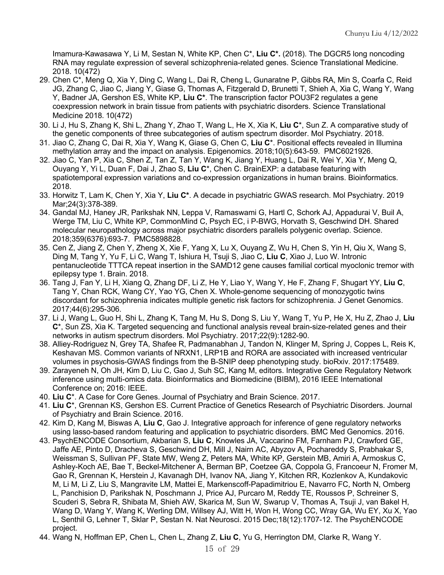Imamura-Kawasawa Y, Li M, Sestan N, White KP, Chen C\*, **Liu C\*.** (2018). The DGCR5 long noncoding RNA may regulate expression of several schizophrenia-related genes. Science Translational Medicine. 2018. 10(472)

- 29. Chen C\*, Meng Q, Xia Y, Ding C, Wang L, Dai R, Cheng L, Gunaratne P, Gibbs RA, Min S, Coarfa C, Reid JG, Zhang C, Jiao C, Jiang Y, Giase G, Thomas A, Fitzgerald D, Brunetti T, Shieh A, Xia C, Wang Y, Wang Y, Badner JA, Gershon ES, White KP, **Liu C\***. The transcription factor POU3F2 regulates a gene coexpression network in brain tissue from patients with psychiatric disorders. Science Translational Medicine 2018.10(472)
- 30. Li J, Hu S, Zhang K, Shi L, Zhang Y, Zhao T, Wang L, He X, Xia K, **Liu C**\*, Sun Z. A comparative study of the genetic components of three subcategories of autism spectrum disorder. Mol Psychiatry. 2018.
- 31. Jiao C, Zhang C, Dai R, Xia Y, Wang K, Giase G, Chen C, **Liu C**\*. Positional effects revealed in Illumina methylation array and the impact on analysis. Epigenomics. 2018;10(5):643-59. PMC6021926.
- 32. Jiao C, Yan P, Xia C, Shen Z, Tan Z, Tan Y, Wang K, Jiang Y, Huang L, Dai R, Wei Y, Xia Y, Meng Q, Ouyang Y, Yi L, Duan F, Dai J, Zhao S, **Liu C**\*, Chen C. BrainEXP: a database featuring with spatiotemporal expression variations and co-expression organizations in human brains. Bioinformatics. 2018.
- 33. Horwitz T, Lam K, Chen Y, Xia Y, **Liu C\***. A decade in psychiatric GWAS research. Mol Psychiatry. 2019 Mar;24(3):378-389.
- 34. Gandal MJ, Haney JR, Parikshak NN, Leppa V, Ramaswami G, Hartl C, Schork AJ, Appadurai V, Buil A, Werge TM, Liu C, White KP, CommonMind C, Psych EC, i P-BWG, Horvath S, Geschwind DH. Shared molecular neuropathology across major psychiatric disorders parallels polygenic overlap. Science. 2018;359(6376):693-7. PMC5898828.
- 35. Cen Z, Jiang Z, Chen Y, Zheng X, Xie F, Yang X, Lu X, Ouyang Z, Wu H, Chen S, Yin H, Qiu X, Wang S, Ding M, Tang Y, Yu F, Li C, Wang T, Ishiura H, Tsuji S, Jiao C, **Liu C**, Xiao J, Luo W. Intronic pentanucleotide TTTCA repeat insertion in the SAMD12 gene causes familial cortical myoclonic tremor with epilepsy type 1. Brain. 2018.
- 36. Tang J, Fan Y, Li H, Xiang Q, Zhang DF, Li Z, He Y, Liao Y, Wang Y, He F, Zhang F, Shugart YY, **Liu C**, Tang Y, Chan RCK, Wang CY, Yao YG, Chen X. Whole-genome sequencing of monozygotic twins discordant for schizophrenia indicates multiple genetic risk factors for schizophrenia. J Genet Genomics. 2017;44(6):295-306.
- 37. Li J, Wang L, Guo H, Shi L, Zhang K, Tang M, Hu S, Dong S, Liu Y, Wang T, Yu P, He X, Hu Z, Zhao J, **Liu C**\*, Sun ZS, Xia K. Targeted sequencing and functional analysis reveal brain-size-related genes and their networks in autism spectrum disorders. Mol Psychiatry. 2017;22(9):1282-90.
- 38. Alliey-Rodriguez N, Grey TA, Shafee R, Padmanabhan J, Tandon N, Klinger M, Spring J, Coppes L, Reis K, Keshavan MS. Common variants of NRXN1, LRP1B and RORA are associated with increased ventricular volumes in psychosis-GWAS findings from the B-SNIP deep phenotyping study. bioRxiv. 2017:175489.
- 39. Zarayeneh N, Oh JH, Kim D, Liu C, Gao J, Suh SC, Kang M, editors. Integrative Gene Regulatory Network inference using multi-omics data. Bioinformatics and Biomedicine (BIBM), 2016 IEEE International Conference on; 2016: IEEE.
- 40. **Liu C**\*. A Case for Core Genes. Journal of Psychiatry and Brain Science. 2017.
- 41. **Liu C**\*, Grennan KS, Gershon ES. Current Practice of Genetics Research of Psychiatric Disorders. Journal of Psychiatry and Brain Science. 2016.
- 42. Kim D, Kang M, Biswas A, **Liu C**, Gao J. Integrative approach for inference of gene regulatory networks using lasso-based random featuring and application to psychiatric disorders. BMC Med Genomics. 2016.
- 43. PsychENCODE Consortium, Akbarian S, **Liu C**, Knowles JA, Vaccarino FM, Farnham PJ, Crawford GE, Jaffe AE, Pinto D, Dracheva S, Geschwind DH, Mill J, Nairn AC, Abyzov A, Pochareddy S, Prabhakar S, Weissman S, Sullivan PF, State MW, Weng Z, Peters MA, White KP, Gerstein MB, Amiri A, Armoskus C, Ashley-Koch AE, Bae T, Beckel-Mitchener A, Berman BP, Coetzee GA, Coppola G, Francoeur N, Fromer M, Gao R, Grennan K, Herstein J, Kavanagh DH, Ivanov NA, Jiang Y, Kitchen RR, Kozlenkov A, Kundakovic M, Li M, Li Z, Liu S, Mangravite LM, Mattei E, Markenscoff-Papadimitriou E, Navarro FC, North N, Omberg L, Panchision D, Parikshak N, Poschmann J, Price AJ, Purcaro M, Reddy TE, Roussos P, Schreiner S, Scuderi S, Sebra R, Shibata M, Shieh AW, Skarica M, Sun W, Swarup V, Thomas A, Tsuji J, van Bakel H, Wang D, Wang Y, Wang K, Werling DM, Willsey AJ, Witt H, Won H, Wong CC, Wray GA, Wu EY, Xu X, Yao L, Senthil G, Lehner T, Sklar P, Sestan N. Nat Neurosci. 2015 Dec;18(12):1707-12. The PsychENCODE project.
- 44. Wang N, Hoffman EP, Chen L, Chen L, Zhang Z, **Liu C**, Yu G, Herrington DM, Clarke R, Wang Y.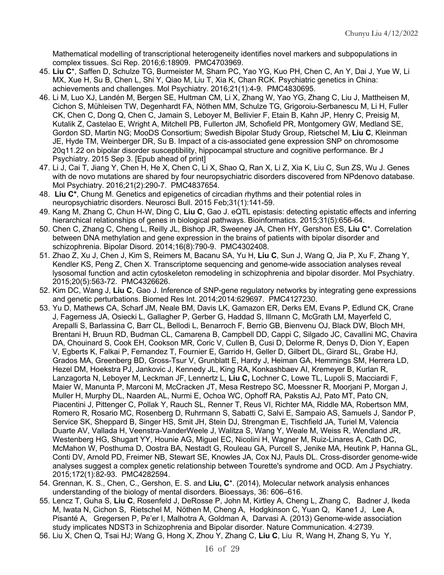Mathematical modelling of transcriptional heterogeneity identifies novel markers and subpopulations in complex tissues. Sci Rep. 2016;6:18909. PMC4703969.

- 45. **Liu C**\*, Saffen D, Schulze TG, Burmeister M, Sham PC, Yao YG, Kuo PH, Chen C, An Y, Dai J, Yue W, Li MX, Xue H, Su B, Chen L, Shi Y, Qiao M, Liu T, Xia K, Chan RCK. Psychiatric genetics in China: achievements and challenges. Mol Psychiatry. 2016;21(1):4-9. PMC4830695.
- 46. Li M, Luo XJ, Landén M, Bergen SE, Hultman CM, Li X, Zhang W, Yao YG, Zhang C, Liu J, Mattheisen M, Cichon S, Mühleisen TW, Degenhardt FA, Nöthen MM, Schulze TG, Grigoroiu-Serbanescu M, Li H, Fuller CK, Chen C, Dong Q, Chen C, Jamain S, Leboyer M, Bellivier F, Etain B, Kahn JP, Henry C, Preisig M, Kutalik Z, Castelao E, Wright A, Mitchell PB, Fullerton JM, Schofield PR, Montgomery GW, Medland SE, Gordon SD, Martin NG; MooDS Consortium; Swedish Bipolar Study Group, Rietschel M, **Liu C**, Kleinman JE, Hyde TM, Weinberger DR, Su B. Impact of a cis-associated gene expression SNP on chromosome 20q11.22 on bipolar disorder susceptibility, hippocampal structure and cognitive performance. Br J Psychiatry. 2015 Sep 3. [Epub ahead of print]
- 47. Li J, Cai T, Jiang Y, Chen H, He X, Chen C, Li X, Shao Q, Ran X, Li Z, Xia K, Liu C, Sun ZS, Wu J. Genes with de novo mutations are shared by four neuropsychiatric disorders discovered from NPdenovo database. Mol Psychiatry. 2016;21(2):290-7. PMC4837654.
- 48. **Liu C\***, Chung M. Genetics and epigenetics of circadian rhythms and their potential roles in neuropsychiatric disorders. Neurosci Bull. 2015 Feb;31(1):141-59.
- 49. Kang M, Zhang C, Chun H-W, Ding C, **Liu C**, Gao J. eQTL epistasis: detecting epistatic effects and inferring hierarchical relationships of genes in biological pathways. Bioinformatics. 2015;31(5):656-64.
- 50. Chen C, Zhang C, Cheng L, Reilly JL, Bishop JR, Sweeney JA, Chen HY, Gershon ES, **Liu C**\*. Correlation between DNA methylation and gene expression in the brains of patients with bipolar disorder and schizophrenia. Bipolar Disord. 2014;16(8):790-9. PMC4302408.
- 51. Zhao Z, Xu J, Chen J, Kim S, Reimers M, Bacanu SA, Yu H, **Liu C**, Sun J, Wang Q, Jia P, Xu F, Zhang Y, Kendler KS, Peng Z, Chen X. Transcriptome sequencing and genome-wide association analyses reveal lysosomal function and actin cytoskeleton remodeling in schizophrenia and bipolar disorder. Mol Psychiatry. 2015;20(5):563-72. PMC4326626.
- 52. Kim DC, Wang J, **Liu C**, Gao J. Inference of SNP-gene regulatory networks by integrating gene expressions and genetic perturbations. Biomed Res Int. 2014;2014:629697. PMC4127230.
- 53. Yu D, Mathews CA, Scharf JM, Neale BM, Davis LK, Gamazon ER, Derks EM, Evans P, Edlund CK, Crane J, Fagerness JA, Osiecki L, Gallagher P, Gerber G, Haddad S, Illmann C, McGrath LM, Mayerfeld C, Arepalli S, Barlassina C, Barr CL, Bellodi L, Benarroch F, Berrio GB, Bienvenu OJ, Black DW, Bloch MH, Brentani H, Bruun RD, Budman CL, Camarena B, Campbell DD, Cappi C, Silgado JC, Cavallini MC, Chavira DA, Chouinard S, Cook EH, Cookson MR, Coric V, Cullen B, Cusi D, Delorme R, Denys D, Dion Y, Eapen V, Egberts K, Falkai P, Fernandez T, Fournier E, Garrido H, Geller D, Gilbert DL, Girard SL, Grabe HJ, Grados MA, Greenberg BD, Gross-Tsur V, Grunblatt E, Hardy J, Heiman GA, Hemmings SM, Herrera LD, Hezel DM, Hoekstra PJ, Jankovic J, Kennedy JL, King RA, Konkashbaev AI, Kremeyer B, Kurlan R, Lanzagorta N, Leboyer M, Leckman JF, Lennertz L, **Liu C,** Lochner C, Lowe TL, Lupoli S, Macciardi F, Maier W, Manunta P, Marconi M, McCracken JT, Mesa Restrepo SC, Moessner R, Moorjani P, Morgan J, Muller H, Murphy DL, Naarden AL, Nurmi E, Ochoa WC, Ophoff RA, Pakstis AJ, Pato MT, Pato CN, Piacentini J, Pittenger C, Pollak Y, Rauch SL, Renner T, Reus VI, Richter MA, Riddle MA, Robertson MM, Romero R, Rosario MC, Rosenberg D, Ruhrmann S, Sabatti C, Salvi E, Sampaio AS, Samuels J, Sandor P, Service SK, Sheppard B, Singer HS, Smit JH, Stein DJ, Strengman E, Tischfield JA, Turiel M, Valencia Duarte AV, Vallada H, Veenstra-VanderWeele J, Walitza S, Wang Y, Weale M, Weiss R, Wendland JR, Westenberg HG, Shugart YY, Hounie AG, Miguel EC, Nicolini H, Wagner M, Ruiz-Linares A, Cath DC, McMahon W, Posthuma D, Oostra BA, Nestadt G, Rouleau GA, Purcell S, Jenike MA, Heutink P, Hanna GL, Conti DV, Arnold PD, Freimer NB, Stewart SE, Knowles JA, Cox NJ, Pauls DL. Cross-disorder genome-wide analyses suggest a complex genetic relationship between Tourette's syndrome and OCD. Am J Psychiatry. 2015;172(1):82-93. PMC4282594.
- 54. Grennan, K. S., Chen, C., Gershon, E. S. and **Liu, C**\*. (2014), Molecular network analysis enhances understanding of the biology of mental disorders. Bioessays, 36: 606–616.
- 55. Lencz T, Guha S, **Liu C**, Rosenfeld J, DeRosse P, John M, Kirtley A, Cheng L, Zhang C, Badner J, Ikeda M, Iwata N, Cichon S, Rietschel M, Nöthen M, Cheng A, Hodgkinson C, Yuan Q, Kane1 J, Lee A, Pisanté A, Gregersen P, Pe'er I, Malhotra A, Goldman A, Darvasi A. (2013) Genome-wide association study implicates NDST3 in Schizophrenia and Bipolar disorder. Nature Communication. 4:2739.
- 56. Liu X, Chen Q, Tsai HJ; Wang G, Hong X, Zhou Y, Zhang C, **Liu C**, Liu R, Wang H, Zhang S, Yu Y,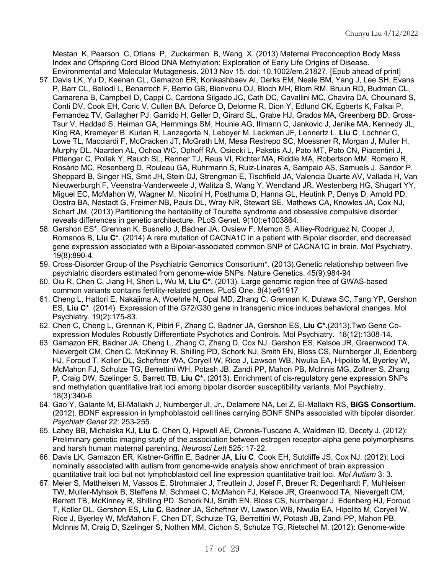Mestan K, Pearson C, Otlans P, Zuckerman B, Wang X. (2013) Maternal Preconception Body Mass Index and Offspring Cord Blood DNA Methylation: Exploration of Early Life Origins of Disease. Environmental and Molecular Mutagenesis. 2013 Nov 15. doi: 10.1002/em.21827. [Epub ahead of print]

- 57. Davis LK, Yu D, Keenan CL, Gamazon ER, Konkashbaev AI, Derks EM, Neale BM, Yang J, Lee SH, Evans P, Barr CL, Bellodi L, Benarroch F, Berrio GB, Bienvenu OJ, Bloch MH, Blom RM, Bruun RD, Budman CL, Camarena B, Campbell D, Cappi C, Cardona Silgado JC, Cath DC, Cavallini MC, Chavira DA, Chouinard S, Conti DV, Cook EH, Coric V, Cullen BA, Deforce D, Delorme R, Dion Y, Edlund CK, Egberts K, Falkai P, Fernandez TV, Gallagher PJ, Garrido H, Geller D, Girard SL, Grabe HJ, Grados MA, Greenberg BD, Gross-Tsur V, Haddad S, Heiman GA, Hemmings SM, Hounie AG, Illmann C, Jankovic J, Jenike MA, Kennedy JL, King RA, Kremeyer B, Kurlan R, Lanzagorta N, Leboyer M, Leckman JF, Lennertz L, **Liu C**, Lochner C, Lowe TL, Macciardi F, McCracken JT, McGrath LM, Mesa Restrepo SC, Moessner R, Morgan J, Muller H, Murphy DL, Naarden AL, Ochoa WC, Ophoff RA, Osiecki L, Pakstis AJ, Pato MT, Pato CN, Piacentini J, Pittenger C, Pollak Y, Rauch SL, Renner TJ, Reus VI, Richter MA, Riddle MA, Robertson MM, Romero R, Rosàrio MC, Rosenberg D, Rouleau GA, Ruhrmann S, Ruiz-Linares A, Sampaio AS, Samuels J, Sandor P, Sheppard B, Singer HS, Smit JH, Stein DJ, Strengman E, Tischfield JA, Valencia Duarte AV, Vallada H, Van Nieuwerburgh F, Veenstra-Vanderweele J, Walitza S, Wang Y, Wendland JR, Westenberg HG, Shugart YY, Miguel EC, McMahon W, Wagner M, Nicolini H, Posthuma D, Hanna GL, Heutink P, Denys D, Arnold PD, Oostra BA, Nestadt G, Freimer NB, Pauls DL, Wray NR, Stewart SE, Mathews CA, Knowles JA, Cox NJ, Scharf JM. (2013) Partitioning the heritability of Tourette syndrome and obsessive compulsive disorder reveals differences in genetic architecture. PLoS Genet. 9(10):e1003864.
- 58. Gershon ES\*, Grennan K, Busnello J, Badner JA, Ovsiew F, Memon S, Alliey-Rodriguez N, Cooper J, Romanos B, **Liu C\***. (2014) A rare mutation of CACNA1C in a patient with Bipolar disorder, and decreased gene expression associated with a Bipolar-associated common SNP of CACNA1C in brain. Mol Psychiatry. 19(8):890-4.
- 59. Cross-Disorder Group of the Psychiatric Genomics Consortium\*. (2013).Genetic relationship between five psychiatric disorders estimated from genome-wide SNPs. Nature Genetics. 45(9):984-94
- 60. Qiu R, Chen C, Jiang H, Shen L, Wu M, **Liu C\***. (2013). Large genomic region free of GWAS-based common variants contains fertility-related genes. PLoS One. 8(4):e61917
- 61. Cheng L, Hattori E, Nakajima A, Woehrle N, Opal MD, Zhang C, Grennan K, Dulawa SC, Tang YP, Gershon ES, **Liu C\***. (2014). Expression of the G72/G30 gene in transgenic mice induces behavioral changes. Mol Psychiatry. 19(2):175-83.
- 62. Chen C, Cheng L, Grennan K, Pibiri F, Zhang C, Badner JA, Gershon ES, **Liu C\*.**(2013).Two Gene Coexpression Modules Robustly Differentiate Psychotics and Controls. Mol Psychiatry. 18(12):1308-14.
- 63. Gamazon ER, Badner JA, Cheng L, Zhang C, Zhang D, Cox NJ, Gershon ES, Kelsoe JR, Greenwood TA, Nievergelt CM, Chen C, McKinney R, Shilling PD, Schork NJ, Smith EN, Bloss CS, Nurnberger JI, Edenberg HJ, Foroud T, Koller DL, Scheftner WA, Coryell W, Rice J, Lawson WB, Nwulia EA, Hipolito M, Byerley W, McMahon FJ, Schulze TG, Berrettini WH, Potash JB, Zandi PP, Mahon PB, McInnis MG, Zollner S, Zhang P, Craig DW, Szelinger S, Barrett TB, **Liu C\*.** (2013). Enrichment of cis-regulatory gene expression SNPs and methylation quantitative trait loci among bipolar disorder susceptibility variants. Mol Psychiatry. 18(3):340-6
- 64. Gao Y, Galante M, El-Mallakh J, Nurnberger JI, Jr., Delamere NA, Lei Z, El-Mallakh RS, **BiGS Consortium.** (2012). BDNF expression in lymphoblastoid cell lines carrying BDNF SNPs associated with bipolar disorder. *Psychiatr Genet* 22: 253-255.
- 65. Lahey BB, Michalska KJ, **Liu C**, Chen Q, Hipwell AE, Chronis-Tuscano A, Waldman ID, Decety J. (2012): Preliminary genetic imaging study of the association between estrogen receptor-alpha gene polymorphisms and harsh human maternal parenting. *Neurosci Lett* 525: 17-22.
- 66. Davis LK, Gamazon ER, Kistner-Griffin E, Badner JA, **Liu C**, Cook EH, Sutcliffe JS, Cox NJ. (2012): Loci nominally associated with autism from genome-wide analysis show enrichment of brain expression quantitative trait loci but not lymphoblastoid cell line expression quantitative trait loci. *Mol Autism* 3: 3.
- 67. Meier S, Mattheisen M, Vassos E, Strohmaier J, Treutlein J, Josef F, Breuer R, Degenhardt F, Muhleisen TW, Muller-Myhsok B, Steffens M, Schmael C, McMahon FJ, Kelsoe JR, Greenwood TA, Nievergelt CM, Barrett TB, McKinney R, Shilling PD, Schork NJ, Smith EN, Bloss CS, Nurnberger J, Edenberg HJ, Foroud T, Koller DL, Gershon ES, **Liu C**, Badner JA, Scheftner W, Lawson WB, Nwulia EA, Hipolito M, Coryell W, Rice J, Byerley W, McMahon F, Chen DT, Schulze TG, Berrettini W, Potash JB, Zandi PP, Mahon PB, McInnis M, Craig D, Szelinger S, Nothen MM, Cichon S, Schulze TG, Rietschel M. (2012): Genome-wide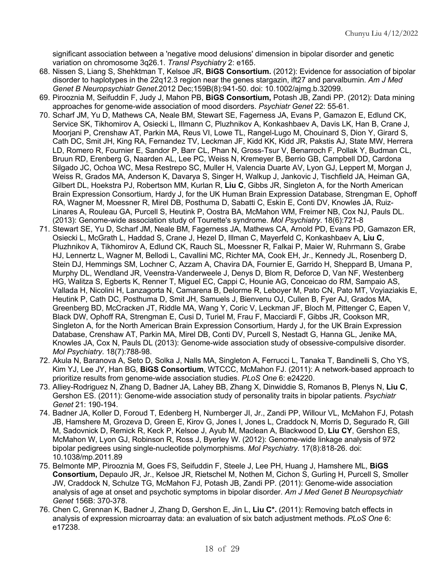significant association between a 'negative mood delusions' dimension in bipolar disorder and genetic variation on chromosome 3q26.1. *Transl Psychiatry* 2: e165.

- 68. Nissen S, Liang S, Shehktman T, Kelsoe JR, **BiGS Consortium.** (2012): Evidence for association of bipolar disorder to haplotypes in the 22q12.3 region near the genes stargazin, ift27 and parvalbumin. *Am J Med Genet B Neuropsychiatr Genet*.2012 Dec;159B(8):941-50. doi: 10.1002/ajmg.b.32099.
- 69. Pirooznia M, Seifuddin F, Judy J, Mahon PB, **BiGS Consortium,** Potash JB, Zandi PP. (2012): Data mining approaches for genome-wide association of mood disorders. *Psychiatr Genet* 22: 55-61.
- 70. Scharf JM, Yu D, Mathews CA, Neale BM, Stewart SE, Fagerness JA, Evans P, Gamazon E, Edlund CK, Service SK, Tikhomirov A, Osiecki L, Illmann C, Pluzhnikov A, Konkashbaev A, Davis LK, Han B, Crane J, Moorjani P, Crenshaw AT, Parkin MA, Reus VI, Lowe TL, Rangel-Lugo M, Chouinard S, Dion Y, Girard S, Cath DC, Smit JH, King RA, Fernandez TV, Leckman JF, Kidd KK, Kidd JR, Pakstis AJ, State MW, Herrera LD, Romero R, Fournier E, Sandor P, Barr CL, Phan N, Gross-Tsur V, Benarroch F, Pollak Y, Budman CL, Bruun RD, Erenberg G, Naarden AL, Lee PC, Weiss N, Kremeyer B, Berrio GB, Campbell DD, Cardona Silgado JC, Ochoa WC, Mesa Restrepo SC, Muller H, Valencia Duarte AV, Lyon GJ, Leppert M, Morgan J, Weiss R, Grados MA, Anderson K, Davarya S, Singer H, Walkup J, Jankovic J, Tischfield JA, Heiman GA, Gilbert DL, Hoekstra PJ, Robertson MM, Kurlan R, **Liu C**, Gibbs JR, Singleton A, for the North American Brain Expression Consortium, Hardy J, for the UK Human Brain Expression Database, Strengman E, Ophoff RA, Wagner M, Moessner R, Mirel DB, Posthuma D, Sabatti C, Eskin E, Conti DV, Knowles JA, Ruiz-Linares A, Rouleau GA, Purcell S, Heutink P, Oostra BA, McMahon WM, Freimer NB, Cox NJ, Pauls DL. (2013): Genome-wide association study of Tourette's syndrome. *Mol Psychiatry*. 18(6):721-8
- 71. Stewart SE, Yu D, Scharf JM, Neale BM, Fagerness JA, Mathews CA, Arnold PD, Evans PD, Gamazon ER, Osiecki L, McGrath L, Haddad S, Crane J, Hezel D, Illman C, Mayerfeld C, Konkashbaev A, **Liu C**, Pluzhnikov A, Tikhomirov A, Edlund CK, Rauch SL, Moessner R, Falkai P, Maier W, Ruhrmann S, Grabe HJ, Lennertz L, Wagner M, Bellodi L, Cavallini MC, Richter MA, Cook EH, Jr., Kennedy JL, Rosenberg D, Stein DJ, Hemmings SM, Lochner C, Azzam A, Chavira DA, Fournier E, Garrido H, Sheppard B, Umana P, Murphy DL, Wendland JR, Veenstra-Vanderweele J, Denys D, Blom R, Deforce D, Van NF, Westenberg HG, Walitza S, Egberts K, Renner T, Miguel EC, Cappi C, Hounie AG, Conceicao do RM, Sampaio AS, Vallada H, Nicolini H, Lanzagorta N, Camarena B, Delorme R, Leboyer M, Pato CN, Pato MT, Voyiaziakis E, Heutink P, Cath DC, Posthuma D, Smit JH, Samuels J, Bienvenu OJ, Cullen B, Fyer AJ, Grados MA, Greenberg BD, McCracken JT, Riddle MA, Wang Y, Coric V, Leckman JF, Bloch M, Pittenger C, Eapen V, Black DW, Ophoff RA, Strengman E, Cusi D, Turiel M, Frau F, Macciardi F, Gibbs JR, Cookson MR, Singleton A, for the North American Brain Expression Consortium, Hardy J, for the UK Brain Expression Database, Crenshaw AT, Parkin MA, Mirel DB, Conti DV, Purcell S, Nestadt G, Hanna GL, Jenike MA, Knowles JA, Cox N, Pauls DL (2013): Genome-wide association study of obsessive-compulsive disorder. *Mol Psychiatry*. 18(7):788-98.
- 72. Akula N, Baranova A, Seto D, Solka J, Nalls MA, Singleton A, Ferrucci L, Tanaka T, Bandinelli S, Cho YS, Kim YJ, Lee JY, Han BG, **BiGS Consortium**, WTCCC, McMahon FJ. (2011): A network-based approach to prioritize results from genome-wide association studies. *PLoS One* 6: e24220.
- 73. Alliey-Rodriguez N, Zhang D, Badner JA, Lahey BB, Zhang X, Dinwiddie S, Romanos B, Plenys N, **Liu C**, Gershon ES. (2011): Genome-wide association study of personality traits in bipolar patients. *Psychiatr Genet* 21: 190-194.
- 74. Badner JA, Koller D, Foroud T, Edenberg H, Nurnberger JI, Jr., Zandi PP, Willour VL, McMahon FJ, Potash JB, Hamshere M, Grozeva D, Green E, Kirov G, Jones I, Jones L, Craddock N, Morris D, Segurado R, Gill M, Sadovnick D, Remick R, Keck P, Kelsoe J, Ayub M, Maclean A, Blackwood D, **Liu CY**, Gershon ES, McMahon W, Lyon GJ, Robinson R, Ross J, Byerley W. (2012): Genome-wide linkage analysis of 972 bipolar pedigrees using single-nucleotide polymorphisms. *Mol Psychiatry*. 17(8):818-26. doi: 10.1038/mp.2011.89
- 75. Belmonte MP, Pirooznia M, Goes FS, Seifuddin F, Steele J, Lee PH, Huang J, Hamshere ML, **BiGS Consortium,** Depaulo JR, Jr., Kelsoe JR, Rietschel M, Nothen M, Cichon S, Gurling H, Purcell S, Smoller JW, Craddock N, Schulze TG, McMahon FJ, Potash JB, Zandi PP. (2011): Genome-wide association analysis of age at onset and psychotic symptoms in bipolar disorder. *Am J Med Genet B Neuropsychiatr Genet* 156B: 370-378.
- 76. Chen C, Grennan K, Badner J, Zhang D, Gershon E, Jin L, **Liu C\*.** (2011): Removing batch effects in analysis of expression microarray data: an evaluation of six batch adjustment methods. *PLoS One* 6: e17238.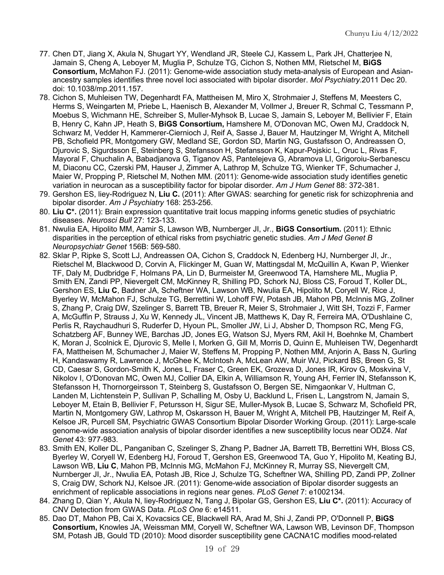- 77. Chen DT, Jiang X, Akula N, Shugart YY, Wendland JR, Steele CJ, Kassem L, Park JH, Chatterjee N, Jamain S, Cheng A, Leboyer M, Muglia P, Schulze TG, Cichon S, Nothen MM, Rietschel M, **BiGS Consortium,** McMahon FJ. (2011): Genome-wide association study meta-analysis of European and Asianancestry samples identifies three novel loci associated with bipolar disorder. *Mol Psychiatry*.2011 Dec 20. doi: 10.1038/mp.2011.157.
- 78. Cichon S, Muhleisen TW, Degenhardt FA, Mattheisen M, Miro X, Strohmaier J, Steffens M, Meesters C, Herms S, Weingarten M, Priebe L, Haenisch B, Alexander M, Vollmer J, Breuer R, Schmal C, Tessmann P, Moebus S, Wichmann HE, Schreiber S, Muller-Myhsok B, Lucae S, Jamain S, Leboyer M, Bellivier F, Etain B, Henry C, Kahn JP, Heath S, **BiGS Consortium,** Hamshere M, O'Donovan MC, Owen MJ, Craddock N, Schwarz M, Vedder H, Kammerer-Ciernioch J, Reif A, Sasse J, Bauer M, Hautzinger M, Wright A, Mitchell PB, Schofield PR, Montgomery GW, Medland SE, Gordon SD, Martin NG, Gustafsson O, Andreassen O, Djurovic S, Sigurdsson E, Steinberg S, Stefansson H, Stefansson K, Kapur-Pojskic L, Oruc L, Rivas F, Mayoral F, Chuchalin A, Babadjanova G, Tiganov AS, Pantelejeva G, Abramova LI, Grigoroiu-Serbanescu M, Diaconu CC, Czerski PM, Hauser J, Zimmer A, Lathrop M, Schulze TG, Wienker TF, Schumacher J, Maier W, Propping P, Rietschel M, Nothen MM. (2011): Genome-wide association study identifies genetic variation in neurocan as a susceptibility factor for bipolar disorder. *Am J Hum Genet* 88: 372-381.
- 79. Gershon ES, liey-Rodriguez N, **Liu C.** (2011): After GWAS: searching for genetic risk for schizophrenia and bipolar disorder. *Am J Psychiatry* 168: 253-256.
- 80. **Liu C\*.** (2011): Brain expression quantitative trait locus mapping informs genetic studies of psychiatric diseases. *Neurosci Bull* 27: 123-133.
- 81. Nwulia EA, Hipolito MM, Aamir S, Lawson WB, Nurnberger JI, Jr., **BiGS Consortium.** (2011): Ethnic disparities in the perception of ethical risks from psychiatric genetic studies. *Am J Med Genet B Neuropsychiatr Genet* 156B: 569-580.
- 82. Sklar P, Ripke S, Scott LJ, Andreassen OA, Cichon S, Craddock N, Edenberg HJ, Nurnberger JI, Jr., Rietschel M, Blackwood D, Corvin A, Flickinger M, Guan W, Mattingsdal M, McQuillin A, Kwan P, Wienker TF, Daly M, Dudbridge F, Holmans PA, Lin D, Burmeister M, Greenwood TA, Hamshere ML, Muglia P, Smith EN, Zandi PP, Nievergelt CM, McKinney R, Shilling PD, Schork NJ, Bloss CS, Foroud T, Koller DL, Gershon ES, **Liu C**, Badner JA, Scheftner WA, Lawson WB, Nwulia EA, Hipolito M, Coryell W, Rice J, Byerley W, McMahon FJ, Schulze TG, Berrettini W, Lohoff FW, Potash JB, Mahon PB, McInnis MG, Zollner S, Zhang P, Craig DW, Szelinger S, Barrett TB, Breuer R, Meier S, Strohmaier J, Witt SH, Tozzi F, Farmer A, McGuffin P, Strauss J, Xu W, Kennedy JL, Vincent JB, Matthews K, Day R, Ferreira MA, O'Dushlaine C, Perlis R, Raychaudhuri S, Ruderfer D, Hyoun PL, Smoller JW, Li J, Absher D, Thompson RC, Meng FG, Schatzberg AF, Bunney WE, Barchas JD, Jones EG, Watson SJ, Myers RM, Akil H, Boehnke M, Chambert K, Moran J, Scolnick E, Djurovic S, Melle I, Morken G, Gill M, Morris D, Quinn E, Muhleisen TW, Degenhardt FA, Mattheisen M, Schumacher J, Maier W, Steffens M, Propping P, Nothen MM, Anjorin A, Bass N, Gurling H, Kandaswamy R, Lawrence J, McGhee K, McIntosh A, McLean AW, Muir WJ, Pickard BS, Breen G, St CD, Caesar S, Gordon-Smith K, Jones L, Fraser C, Green EK, Grozeva D, Jones IR, Kirov G, Moskvina V, Nikolov I, O'Donovan MC, Owen MJ, Collier DA, Elkin A, Williamson R, Young AH, Ferrier IN, Stefansson K, Stefansson H, Thornorgeirsson T, Steinberg S, Gustafsson O, Bergen SE, Nimgaonkar V, Hultman C, Landen M, Lichtenstein P, Sullivan P, Schalling M, Osby U, Backlund L, Frisen L, Langstrom N, Jamain S, Leboyer M, Etain B, Bellivier F, Petursson H, Sigur SE, Muller-Mysok B, Lucae S, Schwarz M, Schofield PR, Martin N, Montgomery GW, Lathrop M, Oskarsson H, Bauer M, Wright A, Mitchell PB, Hautzinger M, Reif A, Kelsoe JR, Purcell SM, Psychiatric GWAS Consortium Bipolar Disorder Working Group. (2011): Large-scale genome-wide association analysis of bipolar disorder identifies a new susceptibility locus near ODZ4. *Nat Genet* 43: 977-983.
- 83. Smith EN, Koller DL, Panganiban C, Szelinger S, Zhang P, Badner JA, Barrett TB, Berrettini WH, Bloss CS, Byerley W, Coryell W, Edenberg HJ, Foroud T, Gershon ES, Greenwood TA, Guo Y, Hipolito M, Keating BJ, Lawson WB, **Liu C**, Mahon PB, McInnis MG, McMahon FJ, McKinney R, Murray SS, Nievergelt CM, Nurnberger JI, Jr., Nwulia EA, Potash JB, Rice J, Schulze TG, Scheftner WA, Shilling PD, Zandi PP, Zollner S, Craig DW, Schork NJ, Kelsoe JR. (2011): Genome-wide association of Bipolar disorder suggests an enrichment of replicable associations in regions near genes. *PLoS Genet* 7: e1002134.
- 84. Zhang D, Qian Y, Akula N, liey-Rodriguez N, Tang J, Bipolar GS, Gershon ES, **Liu C\*.** (2011): Accuracy of CNV Detection from GWAS Data. *PLoS One* 6: e14511.
- 85. Dao DT, Mahon PB, Cai X, Kovacsics CE, Blackwell RA, Arad M, Shi J, Zandi PP, O'Donnell P, **BiGS Consortium,** Knowles JA, Weissman MM, Coryell W, Scheftner WA, Lawson WB, Levinson DF, Thompson SM, Potash JB, Gould TD (2010): Mood disorder susceptibility gene CACNA1C modifies mood-related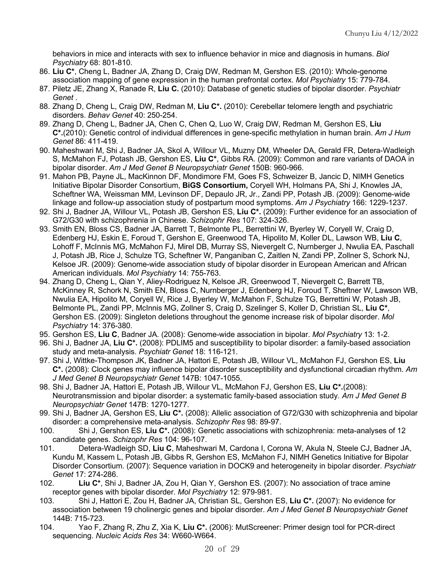behaviors in mice and interacts with sex to influence behavior in mice and diagnosis in humans. *Biol Psychiatry* 68: 801-810.

- 86. **Liu C\***, Cheng L, Badner JA, Zhang D, Craig DW, Redman M, Gershon ES. (2010): Whole-genome association mapping of gene expression in the human prefrontal cortex. *Mol Psychiatry* 15: 779-784.
- 87. Piletz JE, Zhang X, Ranade R, **Liu C.** (2010): Database of genetic studies of bipolar disorder. *Psychiatr Genet* .
- 88. Zhang D, Cheng L, Craig DW, Redman M, **Liu C\*.** (2010): Cerebellar telomere length and psychiatric disorders. *Behav Genet* 40: 250-254.
- 89. Zhang D, Cheng L, Badner JA, Chen C, Chen Q, Luo W, Craig DW, Redman M, Gershon ES, **Liu C\*.**(2010): Genetic control of individual differences in gene-specific methylation in human brain. *Am J Hum Genet* 86: 411-419.
- 90. Maheshwari M, Shi J, Badner JA, Skol A, Willour VL, Muzny DM, Wheeler DA, Gerald FR, Detera-Wadleigh S, McMahon FJ, Potash JB, Gershon ES, **Liu C\***, Gibbs RA. (2009): Common and rare variants of DAOA in bipolar disorder. *Am J Med Genet B Neuropsychiatr Genet* 150B: 960-966.
- 91. Mahon PB, Payne JL, MacKinnon DF, Mondimore FM, Goes FS, Schweizer B, Jancic D, NIMH Genetics Initiative Bipolar Disorder Consortium, **BiGS Consortium,** Coryell WH, Holmans PA, Shi J, Knowles JA, Scheftner WA, Weissman MM, Levinson DF, Depaulo JR, Jr., Zandi PP, Potash JB. (2009): Genome-wide linkage and follow-up association study of postpartum mood symptoms. *Am J Psychiatry* 166: 1229-1237.
- 92. Shi J, Badner JA, Willour VL, Potash JB, Gershon ES, **Liu C\*.** (2009): Further evidence for an association of G72/G30 with schizophrenia in Chinese. *Schizophr Res* 107: 324-326.
- 93. Smith EN, Bloss CS, Badner JA, Barrett T, Belmonte PL, Berrettini W, Byerley W, Coryell W, Craig D, Edenberg HJ, Eskin E, Foroud T, Gershon E, Greenwood TA, Hipolito M, Koller DL, Lawson WB, **Liu C**, Lohoff F, McInnis MG, McMahon FJ, Mirel DB, Murray SS, Nievergelt C, Nurnberger J, Nwulia EA, Paschall J, Potash JB, Rice J, Schulze TG, Scheftner W, Panganiban C, Zaitlen N, Zandi PP, Zollner S, Schork NJ, Kelsoe JR. (2009): Genome-wide association study of bipolar disorder in European American and African American individuals. *Mol Psychiatry* 14: 755-763.
- 94. Zhang D, Cheng L, Qian Y, Aliey-Rodriguez N, Kelsoe JR, Greenwood T, Nievergelt C, Barrett TB, McKinney R, Schork N, Smith EN, Bloss C, Nurnberger J, Edenberg HJ, Foroud T, Sheftner W, Lawson WB, Nwulia EA, Hipolito M, Coryell W, Rice J, Byerley W, McMahon F, Schulze TG, Berrettini W, Potash JB, Belmonte PL, Zandi PP, McInnis MG, Zollner S, Craig D, Szelinger S, Koller D, Christian SL, **Liu C\***, Gershon ES. (2009): Singleton deletions throughout the genome increase risk of bipolar disorder. *Mol Psychiatry* 14: 376-380.
- 95. Gershon ES, **Liu C**, Badner JA. (2008): Genome-wide association in bipolar. *Mol Psychiatry* 13: 1-2.
- 96. Shi J, Badner JA, **Liu C\*.** (2008): PDLIM5 and susceptibility to bipolar disorder: a family-based association study and meta-analysis. *Psychiatr Genet* 18: 116-121.
- 97. Shi J, Wittke-Thompson JK, Badner JA, Hattori E, Potash JB, Willour VL, McMahon FJ, Gershon ES, **Liu C\*.** (2008): Clock genes may influence bipolar disorder susceptibility and dysfunctional circadian rhythm. *Am J Med Genet B Neuropsychiatr Genet* 147B: 1047-1055.
- 98. Shi J, Badner JA, Hattori E, Potash JB, Willour VL, McMahon FJ, Gershon ES, **Liu C\*.**(2008): Neurotransmission and bipolar disorder: a systematic family-based association study. *Am J Med Genet B Neuropsychiatr Genet* 147B: 1270-1277.
- 99. Shi J, Badner JA, Gershon ES, **Liu C\*.** (2008): Allelic association of G72/G30 with schizophrenia and bipolar disorder: a comprehensive meta-analysis. *Schizophr Res* 98: 89-97.
- 100. Shi J, Gershon ES, **Liu C\*.** (2008): Genetic associations with schizophrenia: meta-analyses of 12 candidate genes. *Schizophr Res* 104: 96-107.
- 101. Detera-Wadleigh SD, **Liu C**, Maheshwari M, Cardona I, Corona W, Akula N, Steele CJ, Badner JA, Kundu M, Kassem L, Potash JB, Gibbs R, Gershon ES, McMahon FJ, NIMH Genetics Initiative for Bipolar Disorder Consortium. (2007): Sequence variation in DOCK9 and heterogeneity in bipolar disorder. *Psychiatr Genet* 17: 274-286.
- 102. **Liu C\***, Shi J, Badner JA, Zou H, Qian Y, Gershon ES. (2007): No association of trace amine receptor genes with bipolar disorder. *Mol Psychiatry* 12: 979-981.
- 103. Shi J, Hattori E, Zou H, Badner JA, Christian SL, Gershon ES, **Liu C\*.** (2007): No evidence for association between 19 cholinergic genes and bipolar disorder. *Am J Med Genet B Neuropsychiatr Genet* 144B: 715-723.
- 104. Yao F, Zhang R, Zhu Z, Xia K, **Liu C\*.** (2006): MutScreener: Primer design tool for PCR-direct sequencing. *Nucleic Acids Res* 34: W660-W664.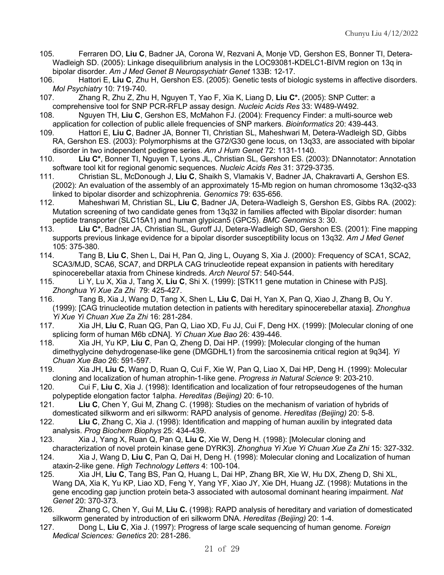- 105. Ferraren DO, **Liu C**, Badner JA, Corona W, Rezvani A, Monje VD, Gershon ES, Bonner TI, Detera-Wadleigh SD. (2005): Linkage disequilibrium analysis in the LOC93081-KDELC1-BIVM region on 13q in bipolar disorder. *Am J Med Genet B Neuropsychiatr Genet* 133B: 12-17.
- 106. Hattori E, **Liu C**, Zhu H, Gershon ES. (2005): Genetic tests of biologic systems in affective disorders. *Mol Psychiatry* 10: 719-740.
- 107. Zhang R, Zhu Z, Zhu H, Nguyen T, Yao F, Xia K, Liang D, **Liu C\*.** (2005): SNP Cutter: a comprehensive tool for SNP PCR-RFLP assay design. *Nucleic Acids Res* 33: W489-W492.
- 108. Nguyen TH, **Liu C**, Gershon ES, McMahon FJ. (2004): Frequency Finder: a multi-source web application for collection of public allele frequencies of SNP markers. *Bioinformatics* 20: 439-443.
- 109. Hattori E, **Liu C**, Badner JA, Bonner TI, Christian SL, Maheshwari M, Detera-Wadleigh SD, Gibbs RA, Gershon ES. (2003): Polymorphisms at the G72/G30 gene locus, on 13q33, are associated with bipolar disorder in two independent pedigree series. *Am J Hum Genet* 72: 1131-1140.
- 110. **Liu C\***, Bonner TI, Nguyen T, Lyons JL, Christian SL, Gershon ES. (2003): DNannotator: Annotation software tool kit for regional genomic sequences. *Nucleic Acids Res* 31: 3729-3735.
- 111. Christian SL, McDonough J, **Liu C**, Shaikh S, Vlamakis V, Badner JA, Chakravarti A, Gershon ES. (2002): An evaluation of the assembly of an approximately 15-Mb region on human chromosome 13q32-q33 linked to bipolar disorder and schizophrenia. *Genomics* 79: 635-656.
- 112. Maheshwari M, Christian SL, **Liu C**, Badner JA, Detera-Wadleigh S, Gershon ES, Gibbs RA. (2002): Mutation screening of two candidate genes from 13q32 in families affected with Bipolar disorder: human peptide transporter (SLC15A1) and human glypican5 (GPC5). *BMC Genomics* 3: 30.
- 113. **Liu C\***, Badner JA, Christian SL, Guroff JJ, Detera-Wadleigh SD, Gershon ES. (2001): Fine mapping supports previous linkage evidence for a bipolar disorder susceptibility locus on 13q32. *Am J Med Genet* 105: 375-380.
- 114. Tang B, **Liu C**, Shen L, Dai H, Pan Q, Jing L, Ouyang S, Xia J. (2000): Frequency of SCA1, SCA2, SCA3/MJD, SCA6, SCA7, and DRPLA CAG trinucleotide repeat expansion in patients with hereditary spinocerebellar ataxia from Chinese kindreds. *Arch Neurol* 57: 540-544.
- 115. Li Y, Lu X, Xia J, Tang X, **Liu C**, Shi X. (1999): [STK11 gene mutation in Chinese with PJS]. *Zhonghua Yi Xue Za Zhi* 79: 425-427.
- 116. Tang B, Xia J, Wang D, Tang X, Shen L, **Liu C**, Dai H, Yan X, Pan Q, Xiao J, Zhang B, Ou Y. (1999): [CAG trinucleotide mutation detection in patients with hereditary spinocerebellar ataxia]. *Zhonghua Yi Xue Yi Chuan Xue Za Zhi* 16: 281-284.
- 117. Xia JH, **Liu C**, Ruan QG, Pan Q, Liao XD, Fu JJ, Cui F, Deng HX. (1999): [Molecular cloning of one splicing form of human M6b cDNA]. *Yi Chuan Xue Bao* 26: 439-446.
- 118. Xia JH, Yu KP, **Liu C**, Pan Q, Zheng D, Dai HP. (1999): [Molecular clonging of the human dimethyglycine dehydrogenase-like gene (DMGDHL1) from the sarcosinemia critical region at 9q34]. *Yi Chuan Xue Bao* 26: 591-597.
- 119. Xia JH, **Liu C**, Wang D, Ruan Q, Cui F, Xie W, Pan Q, Liao X, Dai HP, Deng H. (1999): Molecular cloning and localization of human atrophin-1-like gene. *Progress in Natural Science* 9: 203-210.
- 120. Cui F, **Liu C**, Xia J. (1998): Identification and localization of four retropseudogenes of the human polypeptide elongation factor 1alpha. *Hereditas (Beijing)* 20: 6-10.
- 121. **Liu C**, Chen Y, Gui M, Zhang C. (1998): Studies on the mechanism of variation of hybrids of domesticated silkworm and eri silkworm: RAPD analysis of genome. *Hereditas (Beijing)* 20: 5-8.
- 122. **Liu C**, Zhang C, Xia J. (1998): Identification and mapping of human auxilin by integrated data analysis. *Prog Biochem Biophys* 25: 434-439.
- 123. Xia J, Yang X, Ruan Q, Pan Q, **Liu C**, Xie W, Deng H. (1998): [Molecular cloning and characterization of novel protein kinase gene DYRK3]. *Zhonghua Yi Xue Yi Chuan Xue Za Zhi* 15: 327-332.
- 124. Xia J, Wang D, **Liu C**, Pan Q, Dai H, Deng H. (1998): Molecular cloning and Localization of human ataxin-2-like gene. *High Technology Letters* 4: 100-104.
- 125. Xia JH, **Liu C**, Tang BS, Pan Q, Huang L, Dai HP, Zhang BR, Xie W, Hu DX, Zheng D, Shi XL, Wang DA, Xia K, Yu KP, Liao XD, Feng Y, Yang YF, Xiao JY, Xie DH, Huang JZ. (1998): Mutations in the gene encoding gap junction protein beta-3 associated with autosomal dominant hearing impairment. *Nat Genet* 20: 370-373.
- 126. Zhang C, Chen Y, Gui M, **Liu C.** (1998): RAPD analysis of hereditary and variation of domesticated silkworm generated by introduction of eri silkworm DNA. *Hereditas (Beijing)* 20: 1-4.
- 127. Dong L, **Liu C**, Xia J. (1997): Progress of large scale sequencing of human genome. *Foreign Medical Sciences: Genetics* 20: 281-286.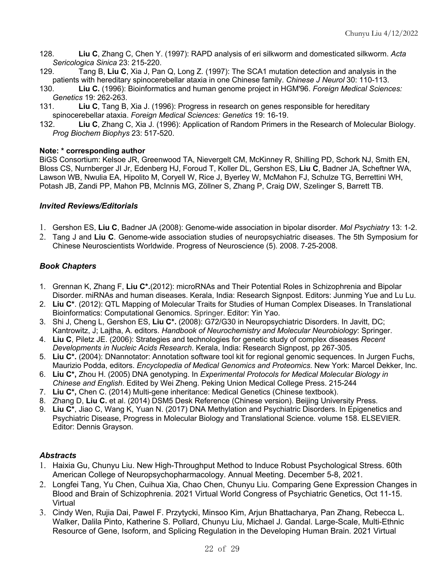- 128. **Liu C**, Zhang C, Chen Y. (1997): RAPD analysis of eri silkworm and domesticated silkworm. *Acta Sericologica Sinica* 23: 215-220.
- 129. Tang B, **Liu C**, Xia J, Pan Q, Long Z. (1997): The SCA1 mutation detection and analysis in the patients with hereditary spinocerebellar ataxia in one Chinese family. *Chinese J Neurol* 30: 110-113.
- 130. **Liu C.** (1996): Bioinformatics and human genome project in HGM'96. *Foreign Medical Sciences: Genetics* 19: 262-263.
- 131. **Liu C**, Tang B, Xia J. (1996): Progress in research on genes responsible for hereditary spinocerebellar ataxia. *Foreign Medical Sciences: Genetics* 19: 16-19.
- 132. **Liu C**, Zhang C, Xia J. (1996): Application of Random Primers in the Research of Molecular Biology. *Prog Biochem Biophys* 23: 517-520.

#### **Note: \* corresponding author**

BiGS Consortium: Kelsoe JR, Greenwood TA, Nievergelt CM, McKinney R, Shilling PD, Schork NJ, Smith EN, Bloss CS, Nurnberger JI Jr, Edenberg HJ, Foroud T, Koller DL, Gershon ES, **Liu C**, Badner JA, Scheftner WA, Lawson WB, Nwulia EA, Hipolito M, Coryell W, Rice J, Byerley W, McMahon FJ, Schulze TG, Berrettini WH, Potash JB, Zandi PP, Mahon PB, McInnis MG, Zöllner S, Zhang P, Craig DW, Szelinger S, Barrett TB.

#### *Invited Reviews/Editorials*

- 1. Gershon ES, **Liu C**, Badner JA (2008): Genome-wide association in bipolar disorder. *Mol Psychiatry* 13: 1-2.
- 2. Tang J and **Liu C**. Genome-wide association studies of neuropsychiatric diseases. The 5th Symposium for Chinese Neuroscientists Worldwide. Progress of Neuroscience (5). 2008. 7-25-2008.

#### *Book Chapters*

- 1. Grennan K, Zhang F, **Liu C\*.**(2012): microRNAs and Their Potential Roles in Schizophrenia and Bipolar Disorder. miRNAs and human diseases. Kerala, India: Research Signpost. Editors: Junming Yue and Lu Lu.
- 2. **Liu C\***. (2012): QTL Mapping of Molecular Traits for Studies of Human Complex Diseases. In Translational Bioinformatics: Computational Genomics. Springer. Editor: Yin Yao.
- 3. Shi J, Cheng L, Gershon ES, **Liu C\*.** (2008): G72/G30 in Neuropsychiatric Disorders. In Javitt, DC; Kantrowitz, J; Lajtha, A. editors. *Handbook of Neurochemistry and Molecular Neurobiology*: Springer.
- 4. **Liu C**, Piletz JE. (2006): Strategies and technologies for genetic study of complex diseases *Recent Developments in Nucleic Acids Research*. Kerala, India: Research Signpost, pp 267-305.
- 5. **Liu C\*.** (2004): DNannotator: Annotation software tool kit for regional genomic sequences. In Jurgen Fuchs, Maurizio Podda, editors. *Encyclopedia of Medical Genomics and Proteomics*. New York: Marcel Dekker, Inc.
- 6. **Liu C\*,** Zhou H. (2005) DNA genotyping. In *Experimental Protocols for Medical Molecular Biology in Chinese and English*. Edited by Wei Zheng. Peking Union Medical College Press. 215-244
- 7. **Liu C\*,** Chen C. (2014) Multi-gene inheritance: Medical Genetics (Chinese textbook).
- 8. Zhang D, **Liu C.** et al. (2014) DSM5 Desk Reference (Chinese version). Beijing University Press.
- 9. **Liu C\***, Jiao C, Wang K, Yuan N. (2017) DNA Methylation and Psychiatric Disorders. In Epigenetics and Psychiatric Disease, Progress in Molecular Biology and Translational Science. volume 158. ELSEVIER. Editor: Dennis Grayson.

#### *Abstracts*

- 1. Haixia Gu, Chunyu Liu. New High-Throughput Method to Induce Robust Psychological Stress. 60th American College of Neuropsychopharmacology. Annual Meeting. December 5-8, 2021.
- 2. Longfei Tang, Yu Chen, Cuihua Xia, Chao Chen, Chunyu Liu. Comparing Gene Expression Changes in Blood and Brain of Schizophrenia. 2021 Virtual World Congress of Psychiatric Genetics, Oct 11-15. Virtual
- 3. Cindy Wen, Rujia Dai, Pawel F. Przytycki, Minsoo Kim, Arjun Bhattacharya, Pan Zhang, Rebecca L. Walker, Dalila Pinto, Katherine S. Pollard, Chunyu Liu, Michael J. Gandal. Large-Scale, Multi-Ethnic Resource of Gene, Isoform, and Splicing Regulation in the Developing Human Brain. 2021 Virtual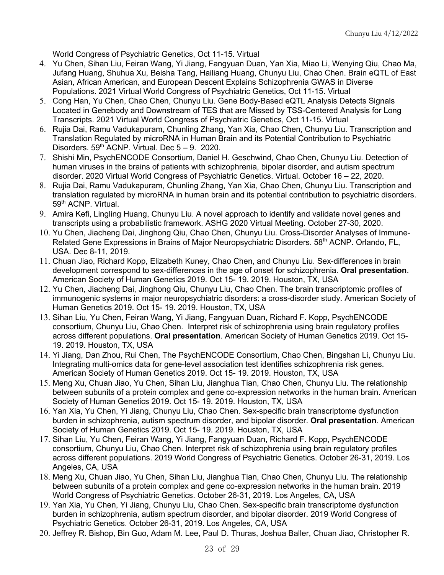World Congress of Psychiatric Genetics, Oct 11-15. Virtual

- 4. Yu Chen, Sihan Liu, Feiran Wang, Yi Jiang, Fangyuan Duan, Yan Xia, Miao Li, Wenying Qiu, Chao Ma, Jufang Huang, Shuhua Xu, Beisha Tang, Hailiang Huang, Chunyu Liu, Chao Chen. Brain eQTL of East Asian, African American, and European Descent Explains Schizophrenia GWAS in Diverse Populations. 2021 Virtual World Congress of Psychiatric Genetics, Oct 11-15. Virtual
- 5. Cong Han, Yu Chen, Chao Chen, Chunyu Liu. Gene Body-Based eQTL Analysis Detects Signals Located in Genebody and Downstream of TES that are Missed by TSS-Centered Analysis for Long Transcripts. 2021 Virtual World Congress of Psychiatric Genetics, Oct 11-15. Virtual
- 6. Rujia Dai, Ramu Vadukapuram, Chunling Zhang, Yan Xia, Chao Chen, Chunyu Liu. Transcription and Translation Regulated by microRNA in Human Brain and its Potential Contribution to Psychiatric Disorders.  $59<sup>th</sup>$  ACNP. Virtual. Dec  $5 - 9$ . 2020.
- 7. Shishi Min, PsychENCODE Consortium, Daniel H. Geschwind, Chao Chen, Chunyu Liu. Detection of human viruses in the brains of patients with schizophrenia, bipolar disorder, and autism spectrum disorder. 2020 Virtual World Congress of Psychiatric Genetics. Virtual. October 16 – 22, 2020.
- 8. Rujia Dai, Ramu Vadukapuram, Chunling Zhang, Yan Xia, Chao Chen, Chunyu Liu. Transcription and translation regulated by microRNA in human brain and its potential contribution to psychiatric disorders. 59<sup>th</sup> ACNP. Virtual.
- 9. Amira Kefi, Lingling Huang, Chunyu Liu. A novel approach to identify and validate novel genes and transcripts using a probabilistic framework. ASHG 2020 Virtual Meeting. October 27-30, 2020.
- 10. Yu Chen, Jiacheng Dai, Jinghong Qiu, Chao Chen, Chunyu Liu. Cross-Disorder Analyses of Immune-Related Gene Expressions in Brains of Major Neuropsychiatric Disorders. 58<sup>th</sup> ACNP. Orlando, FL, USA. Dec 8-11, 2019.
- 11. Chuan Jiao, Richard Kopp, Elizabeth Kuney, Chao Chen, and Chunyu Liu. Sex-differences in brain development correspond to sex-differences in the age of onset for schizophrenia. **Oral presentation**. American Society of Human Genetics 2019. Oct 15- 19. 2019. Houston, TX, USA
- 12. Yu Chen, Jiacheng Dai, Jinghong Qiu, Chunyu Liu, Chao Chen. The brain transcriptomic profiles of immunogenic systems in major neuropsychiatric disorders: a cross-disorder study. American Society of Human Genetics 2019. Oct 15- 19. 2019. Houston, TX, USA
- 13. Sihan Liu, Yu Chen, Feiran Wang, Yi Jiang, Fangyuan Duan, Richard F. Kopp, PsychENCODE consortium, Chunyu Liu, Chao Chen. Interpret risk of schizophrenia using brain regulatory profiles across different populations. **Oral presentation**. American Society of Human Genetics 2019. Oct 15- 19. 2019. Houston, TX, USA
- 14. Yi Jiang, Dan Zhou, Rui Chen, The PsychENCODE Consortium, Chao Chen, Bingshan Li, Chunyu Liu. Integrating multi-omics data for gene-level association test identifies schizophrenia risk genes. American Society of Human Genetics 2019. Oct 15- 19. 2019. Houston, TX, USA
- 15. Meng Xu, Chuan Jiao, Yu Chen, Sihan Liu, Jianghua Tian, Chao Chen, Chunyu Liu. The relationship between subunits of a protein complex and gene co-expression networks in the human brain. American Society of Human Genetics 2019. Oct 15- 19. 2019. Houston, TX, USA
- 16. Yan Xia, Yu Chen, Yi Jiang, Chunyu Liu, Chao Chen. Sex-specific brain transcriptome dysfunction burden in schizophrenia, autism spectrum disorder, and bipolar disorder. **Oral presentation**. American Society of Human Genetics 2019. Oct 15- 19. 2019. Houston, TX, USA
- 17. Sihan Liu, Yu Chen, Feiran Wang, Yi Jiang, Fangyuan Duan, Richard F. Kopp, PsychENCODE consortium, Chunyu Liu, Chao Chen. Interpret risk of schizophrenia using brain regulatory profiles across different populations. 2019 World Congress of Psychiatric Genetics. October 26-31, 2019. Los Angeles, CA, USA
- 18. Meng Xu, Chuan Jiao, Yu Chen, Sihan Liu, Jianghua Tian, Chao Chen, Chunyu Liu. The relationship between subunits of a protein complex and gene co-expression networks in the human brain. 2019 World Congress of Psychiatric Genetics. October 26-31, 2019. Los Angeles, CA, USA
- 19. Yan Xia, Yu Chen, Yi Jiang, Chunyu Liu, Chao Chen. Sex-specific brain transcriptome dysfunction burden in schizophrenia, autism spectrum disorder, and bipolar disorder. 2019 World Congress of Psychiatric Genetics. October 26-31, 2019. Los Angeles, CA, USA
- 20. Jeffrey R. Bishop, Bin Guo, Adam M. Lee, Paul D. Thuras, Joshua Baller, Chuan Jiao, Christopher R.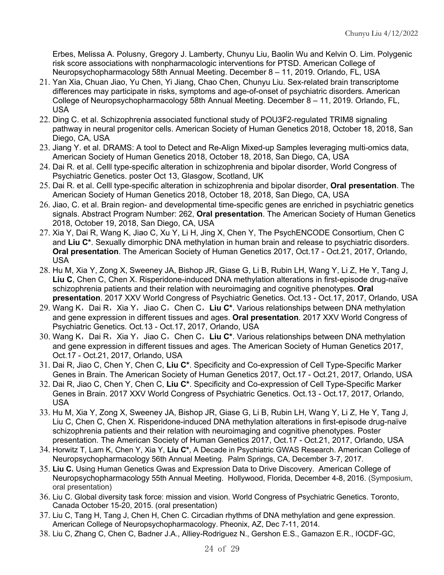Erbes, Melissa A. Polusny, Gregory J. Lamberty, Chunyu Liu, Baolin Wu and Kelvin O. Lim. Polygenic risk score associations with nonpharmacologic interventions for PTSD. American College of Neuropsychopharmacology 58th Annual Meeting. December 8 – 11, 2019. Orlando, FL, USA

- 21. Yan Xia, Chuan Jiao, Yu Chen, Yi Jiang, Chao Chen, Chunyu Liu. Sex-related brain transcriptome differences may participate in risks, symptoms and age-of-onset of psychiatric disorders. American College of Neuropsychopharmacology 58th Annual Meeting. December 8 – 11, 2019. Orlando, FL, USA
- 22. Ding C. et al. Schizophrenia associated functional study of POU3F2-regulated TRIM8 signaling pathway in neural progenitor cells. American Society of Human Genetics 2018, October 18, 2018, San Diego, CA, USA
- 23. Jiang Y. et al. DRAMS: A tool to Detect and Re-Align Mixed-up Samples leveraging multi-omics data, American Society of Human Genetics 2018, October 18, 2018, San Diego, CA, USA
- 24. Dai R. et al. Celll type-specific alteration in schizophrenia and bipolar disorder, World Congress of Psychiatric Genetics. poster Oct 13, Glasgow, Scotland, UK
- 25. Dai R. et al. Celll type-specific alteration in schizophrenia and bipolar disorder, **Oral presentation**. The American Society of Human Genetics 2018, October 18, 2018, San Diego, CA, USA
- 26. Jiao, C. et al. Brain region- and developmental time-specific genes are enriched in psychiatric genetics signals. Abstract Program Number: 262, **Oral presentation**. The American Society of Human Genetics 2018, October 19, 2018, San Diego, CA, USA
- 27. Xia Y, Dai R, Wang K, Jiao C, Xu Y, Li H, Jing X, Chen Y, The PsychENCODE Consortium, Chen C and **Liu C\***. Sexually dimorphic DNA methylation in human brain and release to psychiatric disorders. **Oral presentation**. The American Society of Human Genetics 2017, Oct.17 - Oct.21, 2017, Orlando, USA
- 28. Hu M, Xia Y, Zong X, Sweeney JA, Bishop JR, Giase G, Li B, Rubin LH, Wang Y, Li Z, He Y, Tang J, **Liu C**, Chen C, Chen X. Risperidone-induced DNA methylation alterations in first-episode drug-naïve schizophrenia patients and their relation with neuroimaging and cognitive phenotypes. **Oral presentation**. 2017 XXV World Congress of Psychiatric Genetics. Oct.13 - Oct.17, 2017, Orlando, USA
- 29. Wang K, Dai R, Xia Y, Jiao C, Chen C, Liu C<sup>\*</sup>. Various relationships between DNA methylation and gene expression in different tissues and ages. **Oral presentation**. 2017 XXV World Congress of Psychiatric Genetics. Oct.13 - Oct.17, 2017, Orlando, USA
- 30. Wang K, Dai R, Xia Y, Jiao C, Chen C, Liu C<sup>\*</sup>. Various relationships between DNA methylation and gene expression in different tissues and ages. The American Society of Human Genetics 2017, Oct.17 - Oct.21, 2017, Orlando, USA
- 31. Dai R, Jiao C, Chen Y, Chen C, **Liu C\***. Specificity and Co-expression of Cell Type-Specific Marker Genes in Brain. The American Society of Human Genetics 2017, Oct.17 - Oct.21, 2017, Orlando, USA
- 32. Dai R, Jiao C, Chen Y, Chen C, **Liu C\***. Specificity and Co-expression of Cell Type-Specific Marker Genes in Brain. 2017 XXV World Congress of Psychiatric Genetics. Oct.13 - Oct.17, 2017, Orlando, USA
- 33. Hu M, Xia Y, Zong X, Sweeney JA, Bishop JR, Giase G, Li B, Rubin LH, Wang Y, Li Z, He Y, Tang J, Liu C, Chen C, Chen X. Risperidone-induced DNA methylation alterations in first-episode drug-naïve schizophrenia patients and their relation with neuroimaging and cognitive phenotypes. Poster presentation. The American Society of Human Genetics 2017, Oct.17 - Oct.21, 2017, Orlando, USA
- 34. Horwitz T, Lam K, Chen Y, Xia Y, **Liu C\***, A Decade in Psychiatric GWAS Research. American College of Neuropsychopharmacology 56th Annual Meeting. Palm Springs, CA, December 3-7, 2017.
- 35. **Liu C.** Using Human Genetics Gwas and Expression Data to Drive Discovery. American College of Neuropsychopharmacology 55th Annual Meeting. Hollywood, Florida, December 4-8, 2016. (Symposium, oral presentation)
- 36. Liu C. Global diversity task force: mission and vision. World Congress of Psychiatric Genetics. Toronto, Canada October 15-20, 2015. (oral presentation)
- 37. Liu C, Tang H, Tang J, Chen H, Chen C. Circadian rhythms of DNA methylation and gene expression. American College of Neuropsychopharmacology. Pheonix, AZ, Dec 7-11, 2014.
- 38. Liu C, Zhang C, Chen C, Badner J.A., Alliey-Rodriguez N., Gershon E.S., Gamazon E.R., IOCDF-GC,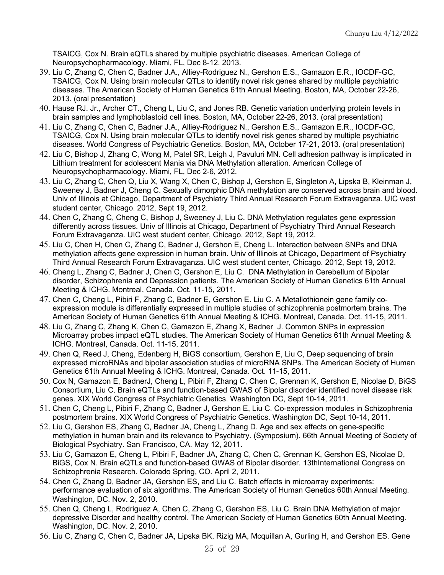TSAICG, Cox N. Brain eQTLs shared by multiple psychiatric diseases. American College of Neuropsychopharmacology. Miami, FL, Dec 8-12, 2013.

- 39. Liu C, Zhang C, Chen C, Badner J.A., Alliey-Rodriguez N., Gershon E.S., Gamazon E.R., IOCDF-GC, TSAICG, Cox N. Using brain molecular QTLs to identify novel risk genes shared by multiple psychiatric diseases. The American Society of Human Genetics 61th Annual Meeting. Boston, MA, October 22-26, 2013. (oral presentation)
- 40. Hause RJ. Jr., Archer CT., Cheng L, Liu C, and Jones RB. Genetic variation underlying protein levels in brain samples and lymphoblastoid cell lines. Boston, MA, October 22-26, 2013. (oral presentation)
- 41. Liu C, Zhang C, Chen C, Badner J.A., Alliey-Rodriguez N., Gershon E.S., Gamazon E.R., IOCDF-GC, TSAICG, Cox N. Using brain molecular QTLs to identify novel risk genes shared by multiple psychiatric diseases. World Congress of Psychiatric Genetics. Boston, MA, October 17-21, 2013. (oral presentation)
- 42. Liu C, Bishop J, Zhang C, Wong M, Patel SR, Leigh J, Pavuluri MN. Cell adhesion pathway is implicated in Lithium treatment for adolescent Mania via DNA Methylation alteration. American College of Neuropsychopharmacology. Miami, FL, Dec 2-6, 2012.
- 43. Liu C, Zhang C, Chen Q, Liu X, Wang X, Chen C, Bishop J, Gershon E, Singleton A, Lipska B, Kleinman J, Sweeney J, Badner J, Cheng C. Sexually dimorphic DNA methylation are conserved across brain and blood. Univ of Illinois at Chicago, Department of Psychiatry Third Annual Research Forum Extravaganza. UIC west student center, Chicago. 2012, Sept 19, 2012.
- 44. Chen C, Zhang C, Cheng C, Bishop J, Sweeney J, Liu C. DNA Methylation regulates gene expression differently across tissues. Univ of Illinois at Chicago, Department of Psychiatry Third Annual Research Forum Extravaganza. UIC west student center, Chicago. 2012, Sept 19, 2012.
- 45. Liu C, Chen H, Chen C, Zhang C, Badner J, Gershon E, Cheng L. Interaction between SNPs and DNA methylation affects gene expression in human brain. Univ of Illinois at Chicago, Department of Psychiatry Third Annual Research Forum Extravaganza. UIC west student center, Chicago. 2012, Sept 19, 2012.
- 46. Cheng L, Zhang C, Badner J, Chen C, Gershon E, Liu C. DNA Methylation in Cerebellum of Bipolar disorder, Schizophrenia and Depression patients. The American Society of Human Genetics 61th Annual Meeting & ICHG. Montreal, Canada. Oct. 11-15, 2011.
- 47. Chen C, Cheng L, Pibiri F, Zhang C, Badner E, Gershon E. Liu C. A Metallothionein gene family coexpression module is differentially expressed in multiple studies of schizophrenia postmortem brains. The American Society of Human Genetics 61th Annual Meeting & ICHG. Montreal, Canada. Oct. 11-15, 2011.
- 48. Liu C, Zhang C, Zhang K, Chen C, Gamazon E, Zhang X, Badner J. Common SNPs in expression Microarray probes impact eQTL studies. The American Society of Human Genetics 61th Annual Meeting & ICHG. Montreal, Canada. Oct. 11-15, 2011.
- 49. Chen Q, Reed J, Cheng, Edenberg H, BiGS consortium, Gershon E, Liu C, Deep sequencing of brain expressed microRNAs and bipolar association studies of microRNA SNPs. The American Society of Human Genetics 61th Annual Meeting & ICHG. Montreal, Canada. Oct. 11-15, 2011.
- 50. Cox N, Gamazon E, BadnerJ, Cheng L, Pibiri F, Zhang C, Chen C, Grennan K, Gershon E, Nicolae D, BiGS Consortium, Liu C. Brain eQTLs and function-based GWAS of Bipolar disorder identified novel disease risk genes. XIX World Congress of Psychiatric Genetics. Washington DC, Sept 10-14, 2011.
- 51. Chen C, Cheng L, Pibiri F, Zhang C, Badner J, Gershon E, Liu C. Co-expression modules in Schizophrenia postmortem brains. XIX World Congress of Psychiatric Genetics. Washington DC, Sept 10-14, 2011.
- 52. Liu C, Gershon ES, Zhang C, Badner JA, Cheng L, Zhang D. Age and sex effects on gene-specific methylation in human brain and its relevance to Psychiatry. (Symposium). 66th Annual Meeting of Society of Biological Psychiatry. San Francisco, CA. May 12, 2011.
- 53. Liu C, Gamazon E, Cheng L, Pibiri F, Badner JA, Zhang C, Chen C, Grennan K, Gershon ES, Nicolae D, BiGS, Cox N. Brain eQTLs and function-based GWAS of Bipolar disorder. 13thInternational Congress on Schizophrenia Research. Colorado Spring, CO. April 2, 2011.
- 54. Chen C, Zhang D, Badner JA, Gershon ES, and Liu C. Batch effects in microarray experiments: performance evaluation of six algorithms. The American Society of Human Genetics 60th Annual Meeting. Washington, DC. Nov. 2, 2010.
- 55. Chen Q, Cheng L, Rodriguez A, Chen C, Zhang C, Gershon ES, Liu C. Brain DNA Methylation of major depressive Disorder and healthy control. The American Society of Human Genetics 60th Annual Meeting. Washington, DC. Nov. 2, 2010.
- 56. Liu C, Zhang C, Chen C, Badner JA, Lipska BK, Rizig MA, Mcquillan A, Gurling H, and Gershon ES. Gene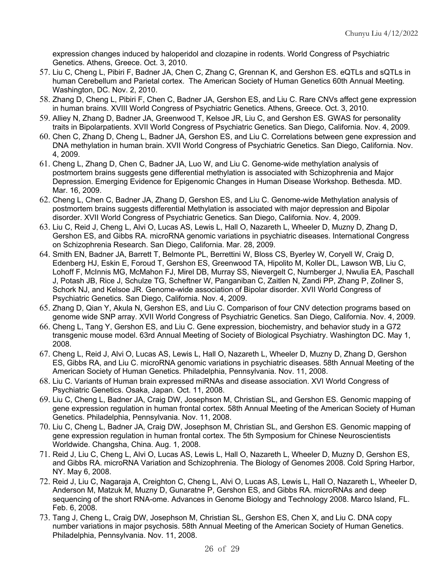expression changes induced by haloperidol and clozapine in rodents. World Congress of Psychiatric Genetics. Athens, Greece. Oct. 3, 2010.

- 57. Liu C, Cheng L, Pibiri F, Badner JA, Chen C, Zhang C, Grennan K, and Gershon ES. eQTLs and sQTLs in human Cerebellum and Parietal cortex. The American Society of Human Genetics 60th Annual Meeting. Washington, DC. Nov. 2, 2010.
- 58. Zhang D, Cheng L, Pibiri F, Chen C, Badner JA, Gershon ES, and Liu C. Rare CNVs affect gene expression in human brains. XVIII World Congress of Psychiatric Genetics. Athens, Greece. Oct. 3, 2010.
- 59. Alliey N, Zhang D, Badner JA, Greenwood T, Kelsoe JR, Liu C, and Gershon ES. GWAS for personality traits in Bipolarpatients. XVII World Congress of Psychiatric Genetics. San Diego, California. Nov. 4, 2009.
- 60. Chen C, Zhang D, Cheng L, Badner JA, Gershon ES, and Liu C. Correlations between gene expression and DNA methylation in human brain. XVII World Congress of Psychiatric Genetics. San Diego, California. Nov. 4, 2009.
- 61. Cheng L, Zhang D, Chen C, Badner JA, Luo W, and Liu C. Genome-wide methylation analysis of postmortem brains suggests gene differential methylation is associated with Schizophrenia and Major Depression. Emerging Evidence for Epigenomic Changes in Human Disease Workshop. Bethesda. MD. Mar. 16, 2009.
- 62. Cheng L, Chen C, Badner JA, Zhang D, Gershon ES, and Liu C. Genome-wide Methylation analysis of postmortem brains suggests differential Methylation is associated with major depression and Bipolar disorder. XVII World Congress of Psychiatric Genetics. San Diego, California. Nov. 4, 2009.
- 63. Liu C, Reid J, Cheng L, Alvi O, Lucas AS, Lewis L, Hall O, Nazareth L, Wheeler D, Muzny D, Zhang D, Gershon ES, and Gibbs RA. microRNA genomic variations in psychiatric diseases. International Congress on Schizophrenia Research. San Diego, California. Mar. 28, 2009.
- 64. Smith EN, Badner JA, Barrett T, Belmonte PL, Berrettini W, Bloss CS, Byerley W, Coryell W, Craig D, Edenberg HJ, Eskin E, Foroud T, Gershon ES, Greenwood TA, Hipolito M, Koller DL, Lawson WB, Liu C, Lohoff F, McInnis MG, McMahon FJ, Mirel DB, Murray SS, Nievergelt C, Nurnberger J, Nwulia EA, Paschall J, Potash JB, Rice J, Schulze TG, Scheftner W, Panganiban C, Zaitlen N, Zandi PP, Zhang P, Zollner S, Schork NJ, and Kelsoe JR. Genome-wide association of Bipolar disorder. XVII World Congress of Psychiatric Genetics. San Diego, California. Nov. 4, 2009.
- 65. Zhang D, Qian Y, Akula N, Gershon ES, and Liu C. Comparison of four CNV detection programs based on genome wide SNP array. XVII World Congress of Psychiatric Genetics. San Diego, California. Nov. 4, 2009.
- 66. Cheng L, Tang Y, Gershon ES, and Liu C. Gene expression, biochemistry, and behavior study in a G72 transgenic mouse model. 63rd Annual Meeting of Society of Biological Psychiatry. Washington DC. May 1, 2008.
- 67. Cheng L, Reid J, Alvi O, Lucas AS, Lewis L, Hall O, Nazareth L, Wheeler D, Muzny D, Zhang D, Gershon ES, Gibbs RA, and Liu C. microRNA genomic variations in psychiatric diseases. 58th Annual Meeting of the American Society of Human Genetics. Philadelphia, Pennsylvania. Nov. 11, 2008.
- 68. Liu C. Variants of Human brain expressed miRNAs and disease association. XVI World Congress of Psychiatric Genetics. Osaka, Japan. Oct. 11, 2008.
- 69. Liu C, Cheng L, Badner JA, Craig DW, Josephson M, Christian SL, and Gershon ES. Genomic mapping of gene expression regulation in human frontal cortex. 58th Annual Meeting of the American Society of Human Genetics. Philadelphia, Pennsylvania. Nov. 11, 2008.
- 70. Liu C, Cheng L, Badner JA, Craig DW, Josephson M, Christian SL, and Gershon ES. Genomic mapping of gene expression regulation in human frontal cortex. The 5th Symposium for Chinese Neuroscientists Worldwide. Changsha, China. Aug. 1, 2008.
- 71. Reid J, Liu C, Cheng L, Alvi O, Lucas AS, Lewis L, Hall O, Nazareth L, Wheeler D, Muzny D, Gershon ES, and Gibbs RA. microRNA Variation and Schizophrenia. The Biology of Genomes 2008. Cold Spring Harbor, NY. May 6, 2008.
- 72. Reid J, Liu C, Nagaraja A, Creighton C, Cheng L, Alvi O, Lucas AS, Lewis L, Hall O, Nazareth L, Wheeler D, Anderson M, Matzuk M, Muzny D, Gunaratne P, Gershon ES, and Gibbs RA. microRNAs and deep sequencing of the short RNA-ome. Advances in Genome Biology and Technology 2008. Marco Island, FL. Feb. 6, 2008.
- 73. Tang J, Cheng L, Craig DW, Josephson M, Christian SL, Gershon ES, Chen X, and Liu C. DNA copy number variations in major psychosis. 58th Annual Meeting of the American Society of Human Genetics. Philadelphia, Pennsylvania. Nov. 11, 2008.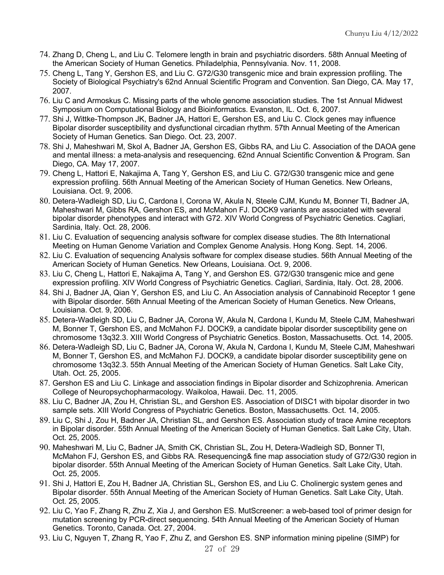- 74. Zhang D, Cheng L, and Liu C. Telomere length in brain and psychiatric disorders. 58th Annual Meeting of the American Society of Human Genetics. Philadelphia, Pennsylvania. Nov. 11, 2008.
- 75. Cheng L, Tang Y, Gershon ES, and Liu C. G72/G30 transgenic mice and brain expression profiling. The Society of Biological Psychiatry's 62nd Annual Scientific Program and Convention. San Diego, CA. May 17, 2007.
- 76. Liu C and Armoskus C. Missing parts of the whole genome association studies. The 1st Annual Midwest Symposium on Computational Biology and Bioinformatics. Evanston, IL. Oct. 6, 2007.
- 77. Shi J, Wittke-Thompson JK, Badner JA, Hattori E, Gershon ES, and Liu C. Clock genes may influence Bipolar disorder susceptibility and dysfunctional circadian rhythm. 57th Annual Meeting of the American Society of Human Genetics. San Diego. Oct. 23, 2007.
- 78. Shi J, Maheshwari M, Skol A, Badner JA, Gershon ES, Gibbs RA, and Liu C. Association of the DAOA gene and mental illness: a meta-analysis and resequencing. 62nd Annual Scientific Convention & Program. San Diego, CA. May 17, 2007.
- 79. Cheng L, Hattori E, Nakajima A, Tang Y, Gershon ES, and Liu C. G72/G30 transgenic mice and gene expression profiling. 56th Annual Meeting of the American Society of Human Genetics. New Orleans, Louisiana. Oct. 9, 2006.
- 80. Detera-Wadleigh SD, Liu C, Cardona I, Corona W, Akula N, Steele CJM, Kundu M, Bonner TI, Badner JA, Maheshwari M, Gibbs RA, Gershon ES, and McMahon FJ. DOCK9 variants are associated with several bipolar disorder phenotypes and interact with G72. XIV World Congress of Psychiatric Genetics. Cagliari, Sardinia, Italy. Oct. 28, 2006.
- 81. Liu C. Evaluation of sequencing analysis software for complex disease studies. The 8th International Meeting on Human Genome Variation and Complex Genome Analysis. Hong Kong. Sept. 14, 2006.
- 82. Liu C. Evaluation of sequencing Analysis software for complex disease studies. 56th Annual Meeting of the American Society of Human Genetics. New Orleans, Louisiana. Oct. 9, 2006.
- 83. Liu C, Cheng L, Hattori E, Nakajima A, Tang Y, and Gershon ES. G72/G30 transgenic mice and gene expression profiling. XIV World Congress of Psychiatric Genetics. Cagliari, Sardinia, Italy. Oct. 28, 2006.
- 84. Shi J, Badner JA, Qian Y, Gershon ES, and Liu C. An Association analysis of Cannabinoid Receptor 1 gene with Bipolar disorder. 56th Annual Meeting of the American Society of Human Genetics. New Orleans, Louisiana. Oct. 9, 2006.
- 85. Detera-Wadleigh SD, Liu C, Badner JA, Corona W, Akula N, Cardona I, Kundu M, Steele CJM, Maheshwari M, Bonner T, Gershon ES, and McMahon FJ. DOCK9, a candidate bipolar disorder susceptibility gene on chromosome 13q32.3. XIII World Congress of Psychiatric Genetics. Boston, Massachusetts. Oct. 14, 2005.
- 86. Detera-Wadleigh SD, Liu C, Badner JA, Corona W, Akula N, Cardona I, Kundu M, Steele CJM, Maheshwari M, Bonner T, Gershon ES, and McMahon FJ. DOCK9, a candidate bipolar disorder susceptibility gene on chromosome 13q32.3. 55th Annual Meeting of the American Society of Human Genetics. Salt Lake City, Utah. Oct. 25, 2005.
- 87. Gershon ES and Liu C. Linkage and association findings in Bipolar disorder and Schizophrenia. American College of Neuropsychopharmacology. Waikoloa, Hawaii. Dec. 11, 2005.
- 88. Liu C, Badner JA, Zou H, Christian SL, and Gershon ES. Association of DISC1 with bipolar disorder in two sample sets. XIII World Congress of Psychiatric Genetics. Boston, Massachusetts. Oct. 14, 2005.
- 89. Liu C, Shi J, Zou H, Badner JA, Christian SL, and Gershon ES. Association study of trace Amine receptors in Bipolar disorder. 55th Annual Meeting of the American Society of Human Genetics. Salt Lake City, Utah. Oct. 25, 2005.
- 90. Maheshwari M, Liu C, Badner JA, Smith CK, Christian SL, Zou H, Detera-Wadleigh SD, Bonner TI, McMahon FJ, Gershon ES, and Gibbs RA. Resequencing& fine map association study of G72/G30 region in bipolar disorder. 55th Annual Meeting of the American Society of Human Genetics. Salt Lake City, Utah. Oct. 25, 2005.
- 91. Shi J, Hattori E, Zou H, Badner JA, Christian SL, Gershon ES, and Liu C. Cholinergic system genes and Bipolar disorder. 55th Annual Meeting of the American Society of Human Genetics. Salt Lake City, Utah. Oct. 25, 2005.
- 92. Liu C, Yao F, Zhang R, Zhu Z, Xia J, and Gershon ES. MutScreener: a web-based tool of primer design for mutation screening by PCR-direct sequencing. 54th Annual Meeting of the American Society of Human Genetics. Toronto, Canada. Oct. 27, 2004.
- 93. Liu C, Nguyen T, Zhang R, Yao F, Zhu Z, and Gershon ES. SNP information mining pipeline (SIMP) for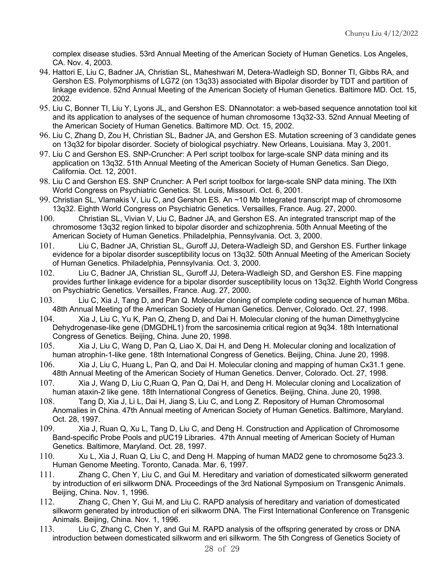complex disease studies. 53rd Annual Meeting of the American Society of Human Genetics. Los Angeles, CA. Nov. 4, 2003.

- 94. Hattori E, Liu C, Badner JA, Christian SL, Maheshwari M, Detera-Wadleigh SD, Bonner TI, Gibbs RA, and Gershon ES. Polymorphisms of LG72 (on 13q33) associated with Bipolar disorder by TDT and partition of linkage evidence. 52nd Annual Meeting of the American Society of Human Genetics. Baltimore MD. Oct. 15, 2002.
- 95. Liu C, Bonner TI, Liu Y, Lyons JL, and Gershon ES. DNannotator: a web-based sequence annotation tool kit and its application to analyses of the sequence of human chromosome 13q32-33. 52nd Annual Meeting of the American Society of Human Genetics. Baltimore MD. Oct. 15, 2002.
- 96. Liu C, Zhang D, Zou H, Christian SL, Badner JA, and Gershon ES. Mutation screening of 3 candidate genes on 13q32 for bipolar disorder. Society of biological psychiatry. New Orleans, Louisiana. May 3, 2001.
- 97. Liu C and Gershon ES. SNP-Cruncher: A Perl script toolbox for large-scale SNP data mining and its application on 13q32. 51th Annual Meeting of the American Society of Human Genetics. San Diego, California. Oct. 12, 2001.
- 98. Liu C and Gershon ES. SNP Cruncher: A Perl script toolbox for large-scale SNP data mining. The IXth World Congress on Psychiatric Genetics. St. Louis, Missouri. Oct. 6, 2001.
- 99. Christian SL, Vlamakis V, Liu C, and Gershon ES. An ~10 Mb Integrated transcript map of chromosome 13q32. Eighth World Congress on Psychiatric Genetics. Versailles, France. Aug. 27, 2000.
- 100. Christian SL, Vivian V, Liu C, Badner JA, and Gershon ES. An integrated transcript map of the chromosome 13q32 region linked to bipolar disorder and schizophrenia. 50th Annual Meeting of the American Society of Human Genetics. Philadelphia, Pennsylvania. Oct. 3, 2000.
- 101. Liu C, Badner JA, Christian SL, Guroff JJ, Detera-Wadleigh SD, and Gershon ES. Further linkage evidence for a bipolar disorder susceptibility locus on 13q32. 50th Annual Meeting of the American Society of Human Genetics. Philadelphia, Pennsylvania. Oct. 3, 2000.
- 102. Liu C, Badner JA, Christian SL, Guroff JJ, Detera-Wadleigh SD, and Gershon ES. Fine mapping provides further linkage evidence for a bipolar disorder susceptibility locus on 13q32. Eighth World Congress on Psychiatric Genetics. Versailles, France. Aug. 27, 2000.
- 103. Liu C, Xia J, Tang D, and Pan Q. Molecular cloning of complete coding sequence of human M6ba. 48th Annual Meeting of the American Society of Human Genetics. Denver, Colorado. Oct. 27, 1998.
- 104. Xia J, Liu C, Yu K, Pan Q, Zheng D, and Dai H. Molecular cloning of the human Dimethyglycine Dehydrogenase-like gene (DMGDHL1) from the sarcosinemia critical region at 9q34. 18th International Congress of Genetics. Beijing, China. June 20, 1998.
- 105. Xia J, Liu C, Wang D, Pan Q, Liao X, Dai H, and Deng H. Molecular cloning and localization of human atrophin-1-like gene. 18th International Congress of Genetics. Beijing, China. June 20, 1998.
- 106. Xia J, Liu C, Huang L, Pan Q, and Dai H. Molecular cloning and mapping of human Cx31.1 gene. 48th Annual Meeting of the American Society of Human Genetics. Denver, Colorado. Oct. 27, 1998.
- 107. Xia J, Wang D, Liu C,Ruan Q, Pan Q, Dai H, and Deng H. Molecular cloning and Localization of human ataxin-2 like gene. 18th International Congress of Genetics. Beijing, China. June 20, 1998.
- 108. Tang D, Xia J, Li L, Dai H, Jiang S, Liu C, and Long Z. Repository of Human Chromosomal Anomalies in China. 47th Annual meeting of American Society of Human Genetics. Baltimore, Maryland. Oct. 28, 1997.
- 109. Xia J, Ruan Q, Xu L, Tang D, Liu C, and Deng H. Construction and Application of Chromosome Band-specific Probe Pools and pUC19 Libraries. 47th Annual meeting of American Society of Human Genetics. Baltimore, Maryland. Oct. 28, 1997.
- 110. Xu L, Xia J, Ruan Q, Liu C, and Deng H. Mapping of human MAD2 gene to chromosome 5q23.3. Human Genome Meeting. Toronto, Canada. Mar. 6, 1997.
- 111. Zhang C, Chen Y, Liu C, and Gui M. Hereditary and variation of domesticated silkworm generated by introduction of eri silkworm DNA. Proceedings of the 3rd National Symposium on Transgenic Animals. Beijing, China. Nov. 1, 1996.
- 112. Zhang C, Chen Y, Gui M, and Liu C. RAPD analysis of hereditary and variation of domesticated silkworm generated by introduction of eri silkworm DNA. The First International Conference on Transgenic Animals. Beijing, China. Nov. 1, 1996.
- 113. Liu C, Zhang C, Chen Y, and Gui M. RAPD analysis of the offspring generated by cross or DNA introduction between domesticated silkworm and eri silkworm. The 5th Congress of Genetics Society of